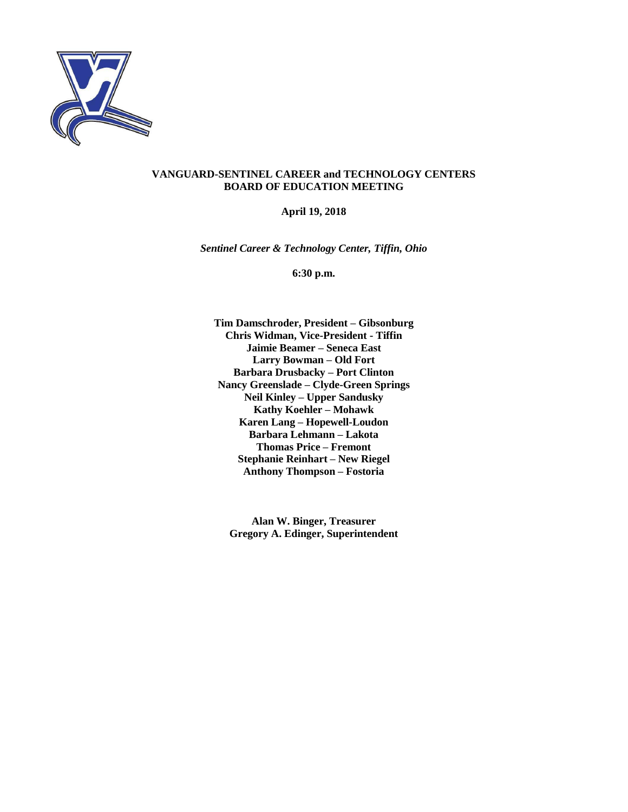

#### **VANGUARD-SENTINEL CAREER and TECHNOLOGY CENTERS BOARD OF EDUCATION MEETING**

#### **April 19, 2018**

*Sentinel Career & Technology Center, Tiffin, Ohio*

**6:30 p.m.**

**Tim Damschroder, President – Gibsonburg Chris Widman, Vice-President - Tiffin Jaimie Beamer – Seneca East Larry Bowman – Old Fort Barbara Drusbacky – Port Clinton Nancy Greenslade – Clyde-Green Springs Neil Kinley – Upper Sandusky Kathy Koehler – Mohawk Karen Lang – Hopewell-Loudon Barbara Lehmann – Lakota Thomas Price – Fremont Stephanie Reinhart – New Riegel Anthony Thompson – Fostoria**

**Alan W. Binger, Treasurer Gregory A. Edinger, Superintendent**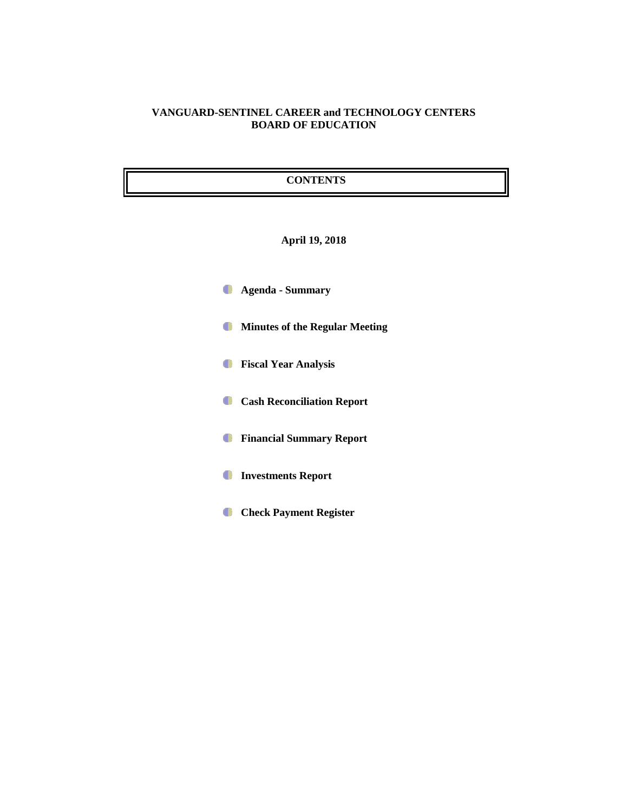### **VANGUARD-SENTINEL CAREER and TECHNOLOGY CENTERS BOARD OF EDUCATION**

# **CONTENTS**

#### **April 19, 2018**

- **Agenda - Summary**
- **Minutes of the Regular Meeting**
- **Fiscal Year Analysis**
- **Cash Reconciliation Report**
- **Financial Summary Report**
- **Investments Report**  $\bullet$
- **Check Payment Register**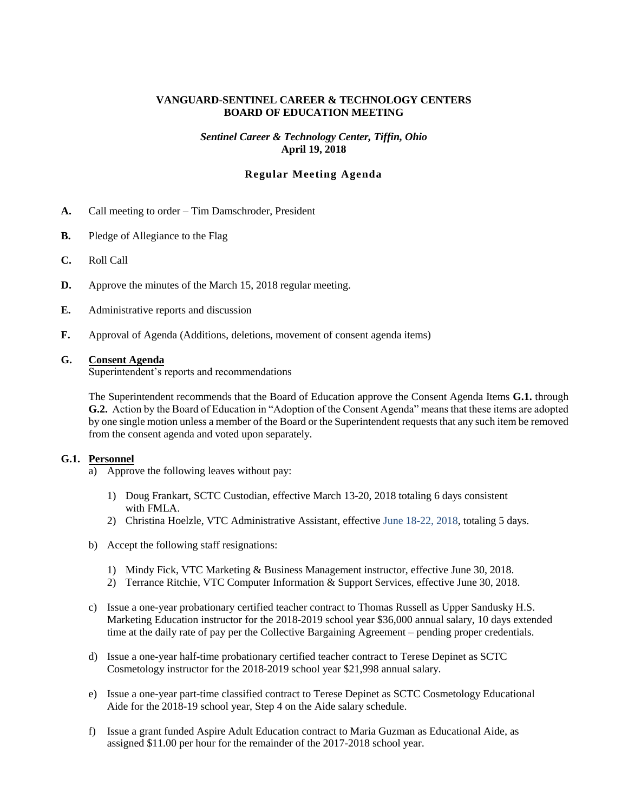#### **VANGUARD-SENTINEL CAREER & TECHNOLOGY CENTERS BOARD OF EDUCATION MEETING**

#### *Sentinel Career & Technology Center, Tiffin, Ohio* **April 19, 2018**

# **Regular Meeting Agenda**

- **A.** Call meeting to order Tim Damschroder, President
- **B.** Pledge of Allegiance to the Flag
- **C.** Roll Call
- **D.** Approve the minutes of the March 15, 2018 regular meeting.
- **E.** Administrative reports and discussion
- **F.** Approval of Agenda (Additions, deletions, movement of consent agenda items)

#### **G. Consent Agenda**

Superintendent's reports and recommendations

The Superintendent recommends that the Board of Education approve the Consent Agenda Items **G.1.** through **G.2.** Action by the Board of Education in "Adoption of the Consent Agenda" means that these items are adopted by one single motion unless a member of the Board or the Superintendent requests that any such item be removed from the consent agenda and voted upon separately.

#### **G.1. Personnel**

- a) Approve the following leaves without pay:
	- 1) Doug Frankart, SCTC Custodian, effective March 13-20, 2018 totaling 6 days consistent with FMLA.
	- 2) Christina Hoelzle, VTC Administrative Assistant, effective June 18-22, 2018, totaling 5 days.
- b) Accept the following staff resignations:
	- 1) Mindy Fick, VTC Marketing & Business Management instructor, effective June 30, 2018.
	- 2) Terrance Ritchie, VTC Computer Information & Support Services, effective June 30, 2018.
- c) Issue a one-year probationary certified teacher contract to Thomas Russell as Upper Sandusky H.S. Marketing Education instructor for the 2018-2019 school year \$36,000 annual salary, 10 days extended time at the daily rate of pay per the Collective Bargaining Agreement – pending proper credentials.
- d) Issue a one-year half-time probationary certified teacher contract to Terese Depinet as SCTC Cosmetology instructor for the 2018-2019 school year \$21,998 annual salary.
- e) Issue a one-year part-time classified contract to Terese Depinet as SCTC Cosmetology Educational Aide for the 2018-19 school year, Step 4 on the Aide salary schedule.
- f) Issue a grant funded Aspire Adult Education contract to Maria Guzman as Educational Aide, as assigned \$11.00 per hour for the remainder of the 2017-2018 school year.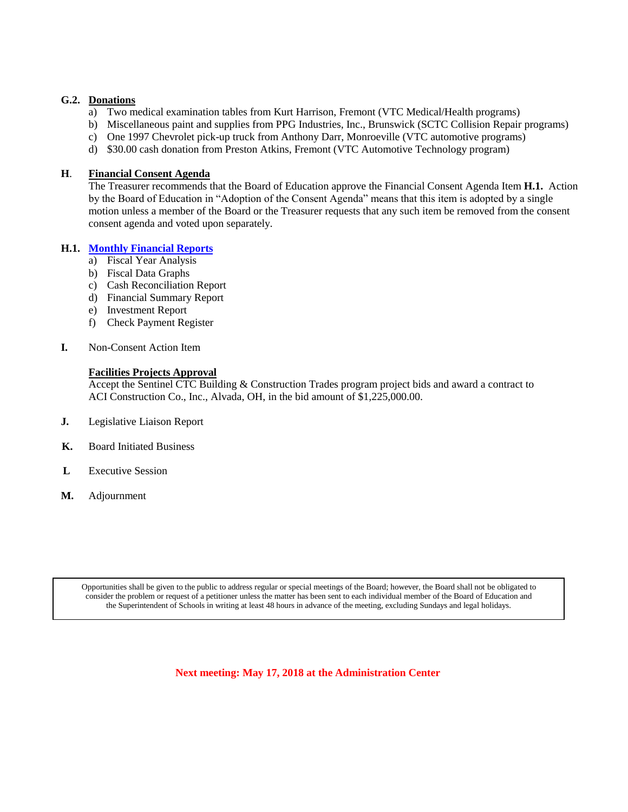#### **G.2. Donations**

- a) Two medical examination tables from Kurt Harrison, Fremont (VTC Medical/Health programs)
- b) Miscellaneous paint and supplies from PPG Industries, Inc., Brunswick (SCTC Collision Repair programs)
- c) One 1997 Chevrolet pick-up truck from Anthony Darr, Monroeville (VTC automotive programs)
- d) \$30.00 cash donation from Preston Atkins, Fremont (VTC Automotive Technology program)

#### **H**. **Financial Consent Agenda**

The Treasurer recommends that the Board of Education approve the Financial Consent Agenda Item **H.1.** Action by the Board of Education in "Adoption of the Consent Agenda" means that this item is adopted by a single motion unless a member of the Board or the Treasurer requests that any such item be removed from the consent consent agenda and voted upon separately.

#### **H.1. [Monthly Financial Reports](http://boe.vscc.k12.oh.us/Board%20of%20Education/Treasurer/April%202018/Treasurers%20Report%20April%202018.pdf)**

- a) Fiscal Year Analysis
- b) Fiscal Data Graphs
- c) Cash Reconciliation Report
- d) Financial Summary Report
- e) Investment Report
- f) Check Payment Register
- **I.** Non-Consent Action Item

#### **Facilities Projects Approval**

Accept the Sentinel CTC Building & Construction Trades program project bids and award a contract to ACI Construction Co., Inc., Alvada, OH, in the bid amount of \$1,225,000.00.

- **J.** Legislative Liaison Report
- **K.** Board Initiated Business
- **L** Executive Session
- **M.** Adjournment

Opportunities shall be given to the public to address regular or special meetings of the Board; however, the Board shall not be obligated to consider the problem or request of a petitioner unless the matter has been sent to each individual member of the Board of Education and the Superintendent of Schools in writing at least 48 hours in advance of the meeting, excluding Sundays and legal holidays.

**Next meeting: May 17, 2018 at the Administration Center**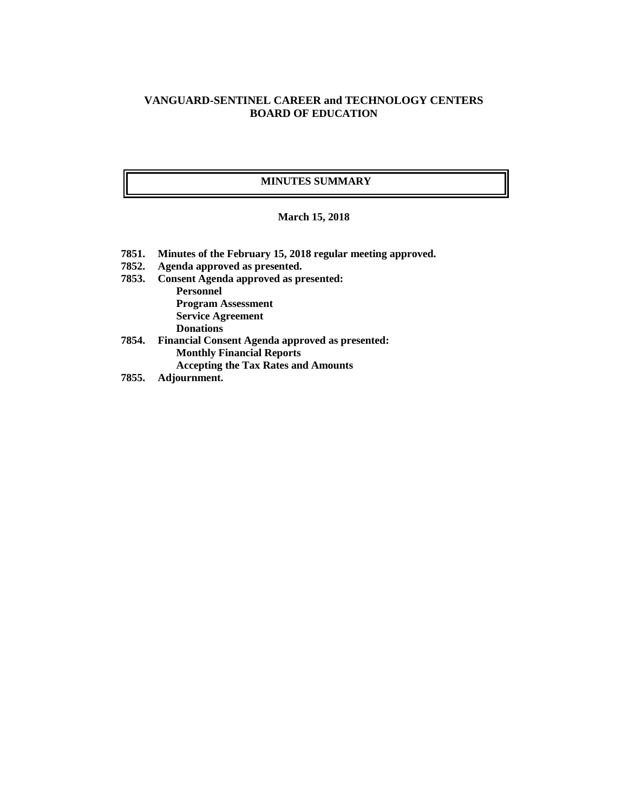# **VANGUARD-SENTINEL CAREER and TECHNOLOGY CENTERS BOARD OF EDUCATION**

### **MINUTES SUMMARY**

#### **March 15, 2018**

- **7851. Minutes of the February 15, 2018 regular meeting approved.**
- **7852. Agenda approved as presented.**
- **7853. Consent Agenda approved as presented: Personnel Program Assessment Service Agreement Donations**
- **7854. Financial Consent Agenda approved as presented: Monthly Financial Reports Accepting the Tax Rates and Amounts**
- **7855. Adjournment.**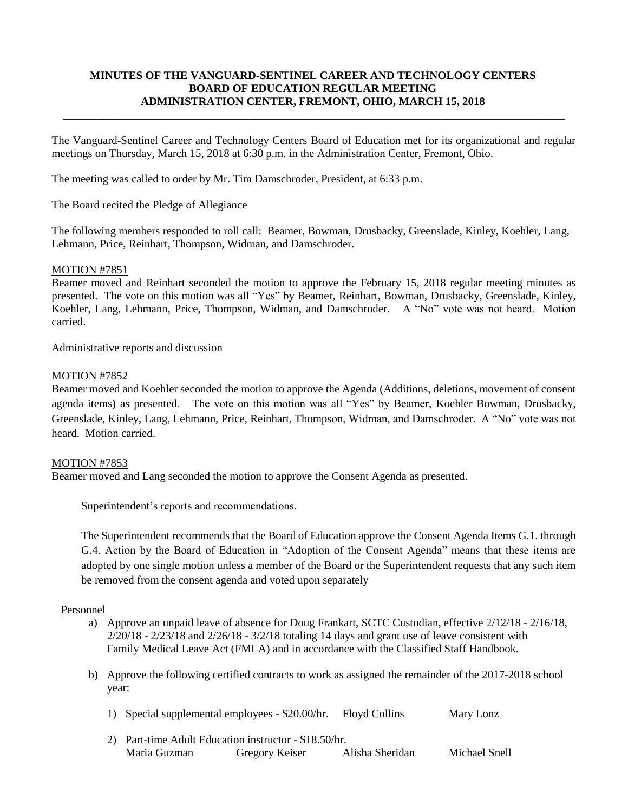# **MINUTES OF THE VANGUARD-SENTINEL CAREER AND TECHNOLOGY CENTERS BOARD OF EDUCATION REGULAR MEETING ADMINISTRATION CENTER, FREMONT, OHIO, MARCH 15, 2018**

**\_\_\_\_\_\_\_\_\_\_\_\_\_\_\_\_\_\_\_\_\_\_\_\_\_\_\_\_\_\_\_\_\_\_\_\_\_\_\_\_\_\_\_\_\_\_\_\_\_\_\_\_\_\_\_\_\_\_\_\_\_\_\_\_\_\_\_\_\_\_\_\_\_\_\_\_\_\_\_\_\_\_\_\_\_\_\_\_\_**

The Vanguard-Sentinel Career and Technology Centers Board of Education met for its organizational and regular meetings on Thursday, March 15, 2018 at 6:30 p.m. in the Administration Center, Fremont, Ohio.

The meeting was called to order by Mr. Tim Damschroder, President, at 6:33 p.m.

The Board recited the Pledge of Allegiance

The following members responded to roll call: Beamer, Bowman, Drusbacky, Greenslade, Kinley, Koehler, Lang, Lehmann, Price, Reinhart, Thompson, Widman, and Damschroder.

#### MOTION #7851

Beamer moved and Reinhart seconded the motion to approve the February 15, 2018 regular meeting minutes as presented. The vote on this motion was all "Yes" by Beamer, Reinhart, Bowman, Drusbacky, Greenslade, Kinley, Koehler, Lang, Lehmann, Price, Thompson, Widman, and Damschroder. A "No" vote was not heard. Motion carried.

Administrative reports and discussion

#### MOTION #7852

Beamer moved and Koehler seconded the motion to approve the Agenda (Additions, deletions, movement of consent agenda items) as presented. The vote on this motion was all "Yes" by Beamer, Koehler Bowman, Drusbacky, Greenslade, Kinley, Lang, Lehmann, Price, Reinhart, Thompson, Widman, and Damschroder. A "No" vote was not heard. Motion carried.

#### MOTION #7853

Beamer moved and Lang seconded the motion to approve the Consent Agenda as presented.

Superintendent's reports and recommendations.

The Superintendent recommends that the Board of Education approve the Consent Agenda Items G.1. through G.4. Action by the Board of Education in "Adoption of the Consent Agenda" means that these items are adopted by one single motion unless a member of the Board or the Superintendent requests that any such item be removed from the consent agenda and voted upon separately

#### Personnel

- a) Approve an unpaid leave of absence for Doug Frankart, SCTC Custodian, effective 2/12/18 2/16/18, 2/20/18 - 2/23/18 and 2/26/18 - 3/2/18 totaling 14 days and grant use of leave consistent with Family Medical Leave Act (FMLA) and in accordance with the Classified Staff Handbook.
- b) Approve the following certified contracts to work as assigned the remainder of the 2017-2018 school year:
	- 1) Special supplemental employees \$20.00/hr. Floyd Collins Mary Lonz
	- 2) Part-time Adult Education instructor \$18.50/hr. Maria Guzman Gregory Keiser Alisha Sheridan Michael Snell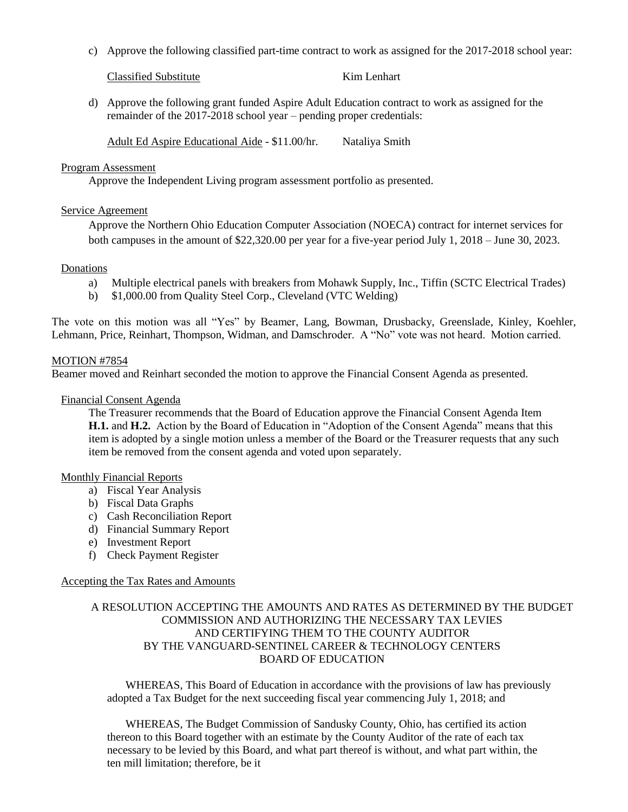c) Approve the following classified part-time contract to work as assigned for the 2017-2018 school year:

Classified Substitute Kim Lenhart

d) Approve the following grant funded Aspire Adult Education contract to work as assigned for the remainder of the 2017-2018 school year – pending proper credentials:

Adult Ed Aspire Educational Aide - \$11.00/hr. Nataliya Smith

#### Program Assessment

Approve the Independent Living program assessment portfolio as presented.

#### Service Agreement

Approve the Northern Ohio Education Computer Association (NOECA) contract for internet services for both campuses in the amount of \$22,320.00 per year for a five-year period July 1, 2018 – June 30, 2023.

#### **Donations**

- a) Multiple electrical panels with breakers from Mohawk Supply, Inc., Tiffin (SCTC Electrical Trades)
- b) \$1,000.00 from Quality Steel Corp., Cleveland (VTC Welding)

The vote on this motion was all "Yes" by Beamer, Lang, Bowman, Drusbacky, Greenslade, Kinley, Koehler, Lehmann, Price, Reinhart, Thompson, Widman, and Damschroder. A "No" vote was not heard. Motion carried.

#### MOTION #7854

Beamer moved and Reinhart seconded the motion to approve the Financial Consent Agenda as presented.

#### Financial Consent Agenda

The Treasurer recommends that the Board of Education approve the Financial Consent Agenda Item **H.1.** and **H.2.** Action by the Board of Education in "Adoption of the Consent Agenda" means that this item is adopted by a single motion unless a member of the Board or the Treasurer requests that any such item be removed from the consent agenda and voted upon separately.

#### [Monthly Financial Reports](http://boe.vscc.k12.oh.us/Board%20of%20Education/Treasurer/Mar%2018/Treasurers%20Report%20Mar%2018.pdf)

- a) Fiscal Year Analysis
- b) Fiscal Data Graphs
- c) Cash Reconciliation Report
- d) Financial Summary Report
- e) Investment Report
- f) Check Payment Register

### Accepting the Tax Rates and Amounts

### A RESOLUTION ACCEPTING THE AMOUNTS AND RATES AS DETERMINED BY THE BUDGET COMMISSION AND AUTHORIZING THE NECESSARY TAX LEVIES AND CERTIFYING THEM TO THE COUNTY AUDITOR BY THE VANGUARD-SENTINEL CAREER & TECHNOLOGY CENTERS BOARD OF EDUCATION

WHEREAS, This Board of Education in accordance with the provisions of law has previously adopted a Tax Budget for the next succeeding fiscal year commencing July 1, 2018; and

WHEREAS, The Budget Commission of Sandusky County, Ohio, has certified its action thereon to this Board together with an estimate by the County Auditor of the rate of each tax necessary to be levied by this Board, and what part thereof is without, and what part within, the ten mill limitation; therefore, be it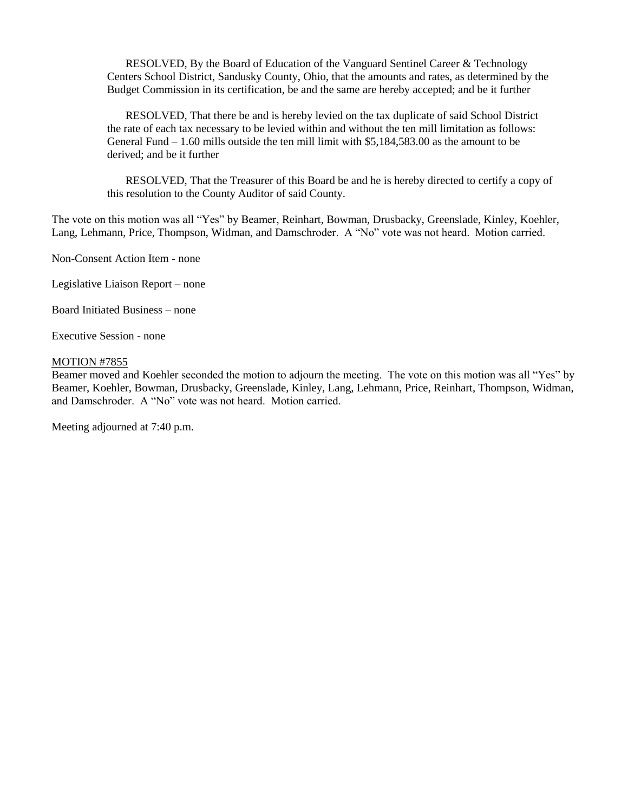RESOLVED, By the Board of Education of the Vanguard Sentinel Career & Technology Centers School District, Sandusky County, Ohio, that the amounts and rates, as determined by the Budget Commission in its certification, be and the same are hereby accepted; and be it further

RESOLVED, That there be and is hereby levied on the tax duplicate of said School District the rate of each tax necessary to be levied within and without the ten mill limitation as follows: General Fund  $-1.60$  mills outside the ten mill limit with \$5,184,583.00 as the amount to be derived; and be it further

RESOLVED, That the Treasurer of this Board be and he is hereby directed to certify a copy of this resolution to the County Auditor of said County.

The vote on this motion was all "Yes" by Beamer, Reinhart, Bowman, Drusbacky, Greenslade, Kinley, Koehler, Lang, Lehmann, Price, Thompson, Widman, and Damschroder. A "No" vote was not heard. Motion carried.

Non-Consent Action Item - none

Legislative Liaison Report – none

Board Initiated Business – none

Executive Session - none

#### MOTION #7855

Beamer moved and Koehler seconded the motion to adjourn the meeting. The vote on this motion was all "Yes" by Beamer, Koehler, Bowman, Drusbacky, Greenslade, Kinley, Lang, Lehmann, Price, Reinhart, Thompson, Widman, and Damschroder. A "No" vote was not heard. Motion carried.

Meeting adjourned at 7:40 p.m.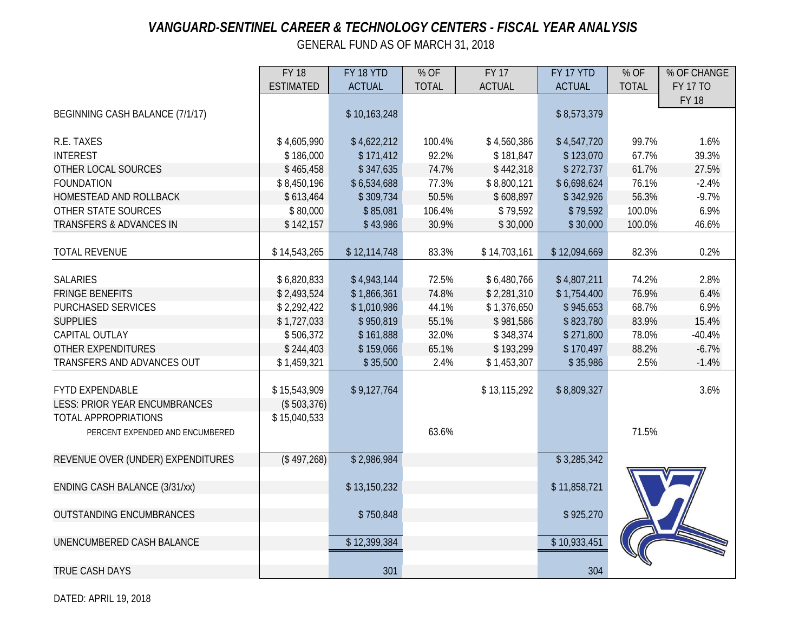# *VANGUARD-SENTINEL CAREER & TECHNOLOGY CENTERS - FISCAL YEAR ANALYSIS*

GENERAL FUND AS OF MARCH 31, 2018

|                                      | <b>FY 18</b>     | FY 18 YTD     | % OF         | <b>FY 17</b>  | FY 17 YTD     | % OF         | % OF CHANGE     |
|--------------------------------------|------------------|---------------|--------------|---------------|---------------|--------------|-----------------|
|                                      | <b>ESTIMATED</b> | <b>ACTUAL</b> | <b>TOTAL</b> | <b>ACTUAL</b> | <b>ACTUAL</b> | <b>TOTAL</b> | <b>FY 17 TO</b> |
|                                      |                  |               |              |               |               |              | <b>FY 18</b>    |
| BEGINNING CASH BALANCE (7/1/17)      |                  | \$10,163,248  |              |               | \$8,573,379   |              |                 |
|                                      |                  |               |              |               |               |              |                 |
| R.E. TAXES                           | \$4,605,990      | \$4,622,212   | 100.4%       | \$4,560,386   | \$4,547,720   | 99.7%        | 1.6%            |
| <b>INTEREST</b>                      | \$186,000        | \$171,412     | 92.2%        | \$181,847     | \$123,070     | 67.7%        | 39.3%           |
| OTHER LOCAL SOURCES                  | \$465,458        | \$347,635     | 74.7%        | \$442,318     | \$272,737     | 61.7%        | 27.5%           |
| <b>FOUNDATION</b>                    | \$8,450,196      | \$6,534,688   | 77.3%        | \$8,800,121   | \$6,698,624   | 76.1%        | $-2.4%$         |
| HOMESTEAD AND ROLLBACK               | \$613,464        | \$309,734     | 50.5%        | \$608,897     | \$342,926     | 56.3%        | $-9.7%$         |
| OTHER STATE SOURCES                  | \$80,000         | \$85,081      | 106.4%       | \$79,592      | \$79,592      | 100.0%       | 6.9%            |
| TRANSFERS & ADVANCES IN              | \$142,157        | \$43,986      | 30.9%        | \$30,000      | \$30,000      | 100.0%       | 46.6%           |
|                                      |                  |               |              |               |               |              |                 |
| <b>TOTAL REVENUE</b>                 | \$14,543,265     | \$12,114,748  | 83.3%        | \$14,703,161  | \$12,094,669  | 82.3%        | 0.2%            |
|                                      |                  |               |              |               |               |              |                 |
| <b>SALARIES</b>                      | \$6,820,833      | \$4,943,144   | 72.5%        | \$6,480,766   | \$4,807,211   | 74.2%        | 2.8%            |
| <b>FRINGE BENEFITS</b>               | \$2,493,524      | \$1,866,361   | 74.8%        | \$2,281,310   | \$1,754,400   | 76.9%        | 6.4%            |
| <b>PURCHASED SERVICES</b>            | \$2,292,422      | \$1,010,986   | 44.1%        | \$1,376,650   | \$945,653     | 68.7%        | 6.9%            |
| <b>SUPPLIES</b>                      | \$1,727,033      | \$950,819     | 55.1%        | \$981,586     | \$823,780     | 83.9%        | 15.4%           |
| CAPITAL OUTLAY                       | \$506,372        | \$161,888     | 32.0%        | \$348,374     | \$271,800     | 78.0%        | $-40.4%$        |
| <b>OTHER EXPENDITURES</b>            | \$244,403        | \$159,066     | 65.1%        | \$193,299     | \$170,497     | 88.2%        | $-6.7%$         |
| TRANSFERS AND ADVANCES OUT           | \$1,459,321      | \$35,500      | 2.4%         | \$1,453,307   | \$35,986      | 2.5%         | $-1.4%$         |
|                                      |                  |               |              |               |               |              |                 |
| <b>FYTD EXPENDABLE</b>               | \$15,543,909     | \$9,127,764   |              | \$13,115,292  | \$8,809,327   |              | 3.6%            |
| <b>LESS: PRIOR YEAR ENCUMBRANCES</b> | (\$503,376)      |               |              |               |               |              |                 |
| <b>TOTAL APPROPRIATIONS</b>          | \$15,040,533     |               |              |               |               |              |                 |
| PERCENT EXPENDED AND ENCUMBERED      |                  |               | 63.6%        |               |               | 71.5%        |                 |
|                                      |                  |               |              |               |               |              |                 |
| REVENUE OVER (UNDER) EXPENDITURES    | (\$497,268)      | \$2,986,984   |              |               | \$3,285,342   |              |                 |
|                                      |                  |               |              |               |               |              |                 |
| ENDING CASH BALANCE (3/31/xx)        |                  | \$13,150,232  |              |               | \$11,858,721  |              |                 |
|                                      |                  |               |              |               |               |              |                 |
| <b>OUTSTANDING ENCUMBRANCES</b>      |                  | \$750,848     |              |               | \$925,270     |              |                 |
| UNENCUMBERED CASH BALANCE            |                  |               |              |               | \$10,933,451  |              |                 |
|                                      |                  | \$12,399,384  |              |               |               |              |                 |
|                                      |                  |               |              |               |               |              |                 |
| <b>TRUE CASH DAYS</b>                |                  | 301           |              |               | 304           |              |                 |

DATED: APRIL 19, 2018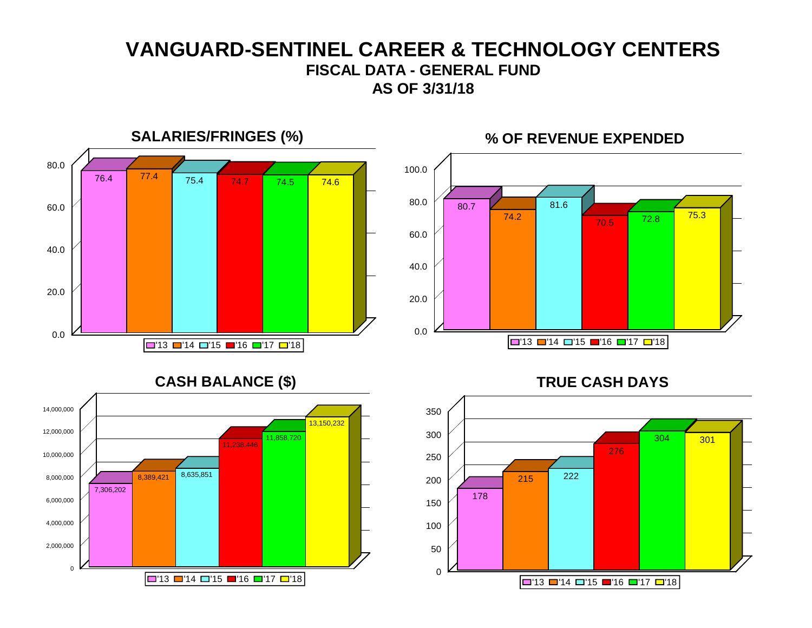# **VANGUARD-SENTINEL CAREER & TECHNOLOGY CENTERS FISCAL DATA - GENERAL FUND AS OF 3/31/18**

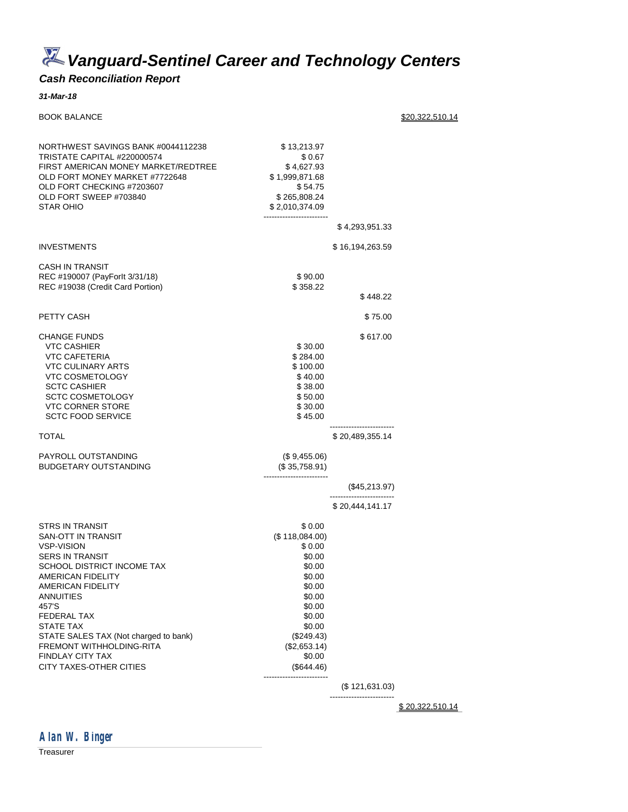*Vanguard-Sentinel Career and Technology Centers*

# *Cash Reconciliation Report*

#### *31-Mar-18*

| <b>BOOK BALANCE</b>                                                                                                                                                                                                                                                                                                         |                                                                                                                                                                            |                 | \$20.322.510.14 |
|-----------------------------------------------------------------------------------------------------------------------------------------------------------------------------------------------------------------------------------------------------------------------------------------------------------------------------|----------------------------------------------------------------------------------------------------------------------------------------------------------------------------|-----------------|-----------------|
| NORTHWEST SAVINGS BANK #0044112238<br>TRISTATE CAPITAL #220000574<br>FIRST AMERICAN MONEY MARKET/REDTREE<br>OLD FORT MONEY MARKET #7722648<br>OLD FORT CHECKING #7203607<br>OLD FORT SWEEP #703840<br>STAR OHIO                                                                                                             | \$13,213.97<br>\$0.67<br>\$4,627.93<br>\$1,999,871.68<br>\$54.75<br>\$265,808.24<br>\$2,010,374.09                                                                         |                 |                 |
|                                                                                                                                                                                                                                                                                                                             |                                                                                                                                                                            | \$4,293,951.33  |                 |
| INVESTMENTS                                                                                                                                                                                                                                                                                                                 |                                                                                                                                                                            | \$16,194,263.59 |                 |
| CASH IN TRANSIT<br>REC #190007 (PayForlt 3/31/18)<br>REC #19038 (Credit Card Portion)                                                                                                                                                                                                                                       | \$90.00<br>\$358.22                                                                                                                                                        | \$448.22        |                 |
| PETTY CASH                                                                                                                                                                                                                                                                                                                  |                                                                                                                                                                            | \$75.00         |                 |
| <b>CHANGE FUNDS</b><br><b>VTC CASHIER</b><br><b>VTC CAFETERIA</b><br><b>VTC CULINARY ARTS</b><br><b>VTC COSMETOLOGY</b><br><b>SCTC CASHIER</b><br><b>SCTC COSMETOLOGY</b><br><b>VTC CORNER STORE</b><br><b>SCTC FOOD SERVICE</b>                                                                                            | \$30.00<br>\$284.00<br>\$100.00<br>\$40.00<br>\$38.00<br>\$50.00<br>\$30.00<br>\$45.00                                                                                     | \$617.00        |                 |
| TOTAL                                                                                                                                                                                                                                                                                                                       |                                                                                                                                                                            | \$20,489,355.14 |                 |
| PAYROLL OUTSTANDING<br>BUDGETARY OUTSTANDING                                                                                                                                                                                                                                                                                | (\$9,455.06)<br>(\$35,758.91)                                                                                                                                              |                 |                 |
|                                                                                                                                                                                                                                                                                                                             |                                                                                                                                                                            | (\$45,213.97)   |                 |
|                                                                                                                                                                                                                                                                                                                             |                                                                                                                                                                            | \$20,444,141.17 |                 |
| STRS IN TRANSIT<br>SAN-OTT IN TRANSIT<br>VSP-VISION<br>SERS IN TRANSIT<br>SCHOOL DISTRICT INCOME TAX<br>AMERICAN FIDELITY<br>AMERICAN FIDELITY<br>ANNUITIES<br>457'S<br>FEDERAL TAX<br>STATE TAX<br>STATE SALES TAX (Not charged to bank)<br>FREMONT WITHHOLDING-RITA<br><b>FINDLAY CITY TAX</b><br>CITY TAXES-OTHER CITIES | \$0.00<br>(\$118,084.00)<br>\$0.00<br>\$0.00<br>\$0.00<br>\$0.00<br>\$0.00<br>\$0.00<br>\$0.00<br>\$0.00<br>\$0.00<br>(\$249.43)<br>(\$2,653.14)<br>\$0.00<br>$(\$644.46)$ |                 |                 |
|                                                                                                                                                                                                                                                                                                                             |                                                                                                                                                                            | (\$121,631.03)  |                 |
|                                                                                                                                                                                                                                                                                                                             |                                                                                                                                                                            |                 | \$20.322.510.14 |



**Treasurer**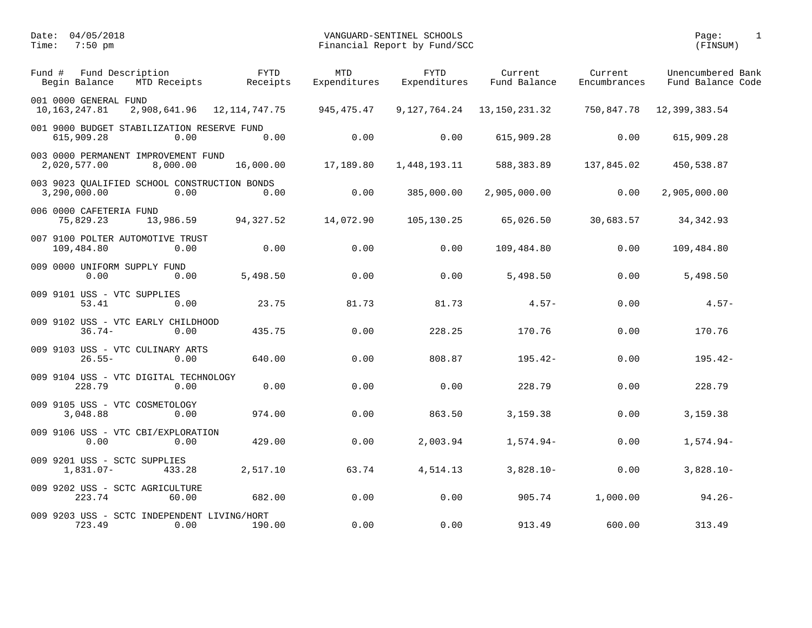| Fund # | Fund Description<br>Begin Balance        | MTD Receipts                                         | <b>FYTD</b><br>Receipts | <b>MTD</b><br>Expenditures | <b>FYTD</b><br>Expenditures | Current<br>Fund Balance | Current<br>Encumbrances | Unencumbered Bank<br>Fund Balance Code |
|--------|------------------------------------------|------------------------------------------------------|-------------------------|----------------------------|-----------------------------|-------------------------|-------------------------|----------------------------------------|
|        | 001 0000 GENERAL FUND<br>10, 163, 247.81 | 2,908,641.96                                         | 12,114,747.75           | 945,475.47                 | 9,127,764.24                | 13, 150, 231.32         | 750,847.78              | 12,399,383.54                          |
|        | 615,909.28                               | 001 9000 BUDGET STABILIZATION RESERVE FUND<br>0.00   | 0.00                    | 0.00                       | 0.00                        | 615,909.28              | 0.00                    | 615,909.28                             |
|        | 2,020,577.00                             | 003 0000 PERMANENT IMPROVEMENT FUND<br>8,000.00      | 16,000.00               | 17,189.80                  | 1,448,193.11                | 588,383.89              | 137,845.02              | 450,538.87                             |
|        | 3,290,000.00                             | 003 9023 QUALIFIED SCHOOL CONSTRUCTION BONDS<br>0.00 | 0.00                    | 0.00                       | 385,000.00                  | 2,905,000.00            | 0.00                    | 2,905,000.00                           |
|        | 006 0000 CAFETERIA FUND<br>75,829.23     | 13,986.59                                            | 94,327.52               | 14,072.90                  | 105,130.25                  | 65,026.50               | 30,683.57               | 34, 342.93                             |
|        | 109,484.80                               | 007 9100 POLTER AUTOMOTIVE TRUST<br>0.00             | 0.00                    | 0.00                       | 0.00                        | 109,484.80              | 0.00                    | 109,484.80                             |
|        | 0.00                                     | 009 0000 UNIFORM SUPPLY FUND<br>0.00                 | 5,498.50                | 0.00                       | 0.00                        | 5,498.50                | 0.00                    | 5,498.50                               |
|        | 009 9101 USS - VTC SUPPLIES<br>53.41     | 0.00                                                 | 23.75                   | 81.73                      | 81.73                       | $4.57-$                 | 0.00                    | $4.57-$                                |
|        | $36.74-$                                 | 009 9102 USS - VTC EARLY CHILDHOOD<br>0.00           | 435.75                  | 0.00                       | 228.25                      | 170.76                  | 0.00                    | 170.76                                 |
|        | $26.55 -$                                | 009 9103 USS - VTC CULINARY ARTS<br>0.00             | 640.00                  | 0.00                       | 808.87                      | $195.42-$               | 0.00                    | $195.42-$                              |
|        | 228.79                                   | 009 9104 USS - VTC DIGITAL TECHNOLOGY<br>0.00        | 0.00                    | 0.00                       | 0.00                        | 228.79                  | 0.00                    | 228.79                                 |
|        | 3,048.88                                 | 009 9105 USS - VTC COSMETOLOGY<br>0.00               | 974.00                  | 0.00                       | 863.50                      | 3,159.38                | 0.00                    | 3,159.38                               |
|        | 0.00                                     | 009 9106 USS - VTC CBI/EXPLORATION<br>0.00           | 429.00                  | 0.00                       | 2,003.94                    | $1,574.94-$             | 0.00                    | $1,574.94-$                            |
|        | $1,831.07-$                              | 009 9201 USS - SCTC SUPPLIES<br>433.28               | 2,517.10                | 63.74                      | 4,514.13                    | $3,828.10-$             | 0.00                    | $3,828.10-$                            |
|        | 223.74                                   | 009 9202 USS - SCTC AGRICULTURE<br>60.00             | 682.00                  | 0.00                       | 0.00                        | 905.74                  | 1,000.00                | $94.26 -$                              |
|        | 723.49                                   | 009 9203 USS - SCTC INDEPENDENT LIVING/HORT<br>0.00  | 190.00                  | 0.00                       | 0.00                        | 913.49                  | 600.00                  | 313.49                                 |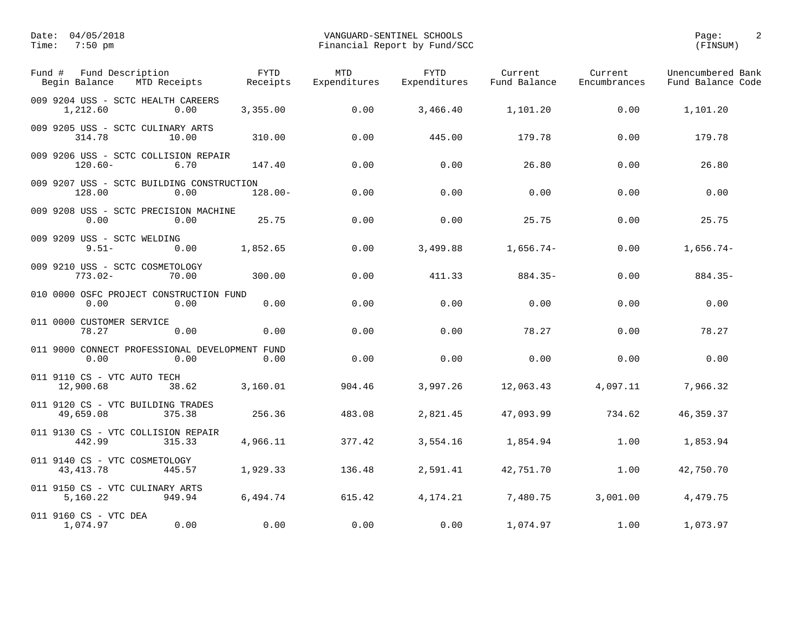| Fund Description<br>Fund #<br>Begin Balance            | MTD Receipts | <b>FYTD</b><br>Receipts | <b>MTD</b><br>Expenditures | <b>FYTD</b><br>Expenditures | Current<br>Fund Balance | Current<br>Encumbrances | Unencumbered Bank<br>Fund Balance Code |
|--------------------------------------------------------|--------------|-------------------------|----------------------------|-----------------------------|-------------------------|-------------------------|----------------------------------------|
| 009 9204 USS - SCTC HEALTH CAREERS<br>1,212.60         | 0.00         | 3,355.00                | 0.00                       | 3,466.40                    | 1,101.20                | 0.00                    | 1,101.20                               |
| 009 9205 USS - SCTC CULINARY ARTS<br>314.78            | 10.00        | 310.00                  | 0.00                       | 445.00                      | 179.78                  | 0.00                    | 179.78                                 |
| 009 9206 USS - SCTC COLLISION REPAIR<br>$120.60 -$     | 6.70         | 147.40                  | 0.00                       | 0.00                        | 26.80                   | 0.00                    | 26.80                                  |
| 009 9207 USS - SCTC BUILDING CONSTRUCTION<br>128.00    | 0.00         | $128.00 -$              | 0.00                       | 0.00                        | 0.00                    | 0.00                    | 0.00                                   |
| 009 9208 USS - SCTC PRECISION MACHINE<br>0.00          | 0.00         | 25.75                   | 0.00                       | 0.00                        | 25.75                   | 0.00                    | 25.75                                  |
| 009 9209 USS - SCTC WELDING<br>$9.51 -$                | 0.00         | 1,852.65                | 0.00                       | 3,499.88                    | $1,656.74-$             | 0.00                    | $1,656.74-$                            |
| 009 9210 USS - SCTC COSMETOLOGY<br>$773.02 -$          | 70.00        | 300.00                  | 0.00                       | 411.33                      | $884.35 -$              | 0.00                    | $884.35-$                              |
| 010 0000 OSFC PROJECT CONSTRUCTION FUND<br>0.00        | 0.00         | 0.00                    | 0.00                       | 0.00                        | 0.00                    | 0.00                    | 0.00                                   |
| 011 0000 CUSTOMER SERVICE<br>78.27                     | 0.00         | 0.00                    | 0.00                       | 0.00                        | 78.27                   | 0.00                    | 78.27                                  |
| 011 9000 CONNECT PROFESSIONAL DEVELOPMENT FUND<br>0.00 | 0.00         | 0.00                    | 0.00                       | 0.00                        | 0.00                    | 0.00                    | 0.00                                   |
| 011 9110 CS - VTC AUTO TECH<br>12,900.68               | 38.62        | 3,160.01                | 904.46                     | 3,997.26                    | 12,063.43               | 4,097.11                | 7,966.32                               |
| 011 9120 CS - VTC BUILDING TRADES<br>49,659.08         | 375.38       | 256.36                  | 483.08                     | 2,821.45                    | 47,093.99               | 734.62                  | 46, 359. 37                            |
| 011 9130 CS - VTC COLLISION REPAIR<br>442.99           | 315.33       | 4,966.11                | 377.42                     | 3,554.16                    | 1,854.94                | 1.00                    | 1,853.94                               |
| 011 9140 CS - VTC COSMETOLOGY<br>43, 413. 78           | 445.57       | 1,929.33                | 136.48                     | 2,591.41                    | 42,751.70               | 1.00                    | 42,750.70                              |
| 011 9150 CS - VTC CULINARY ARTS<br>5,160.22            | 949.94       | 6,494.74                | 615.42                     | 4, 174. 21                  | 7,480.75                | 3,001.00                | 4,479.75                               |
| 011 9160 CS - VTC DEA<br>1,074.97                      | 0.00         | 0.00                    | 0.00                       | 0.00                        | 1,074.97                | 1.00                    | 1,073.97                               |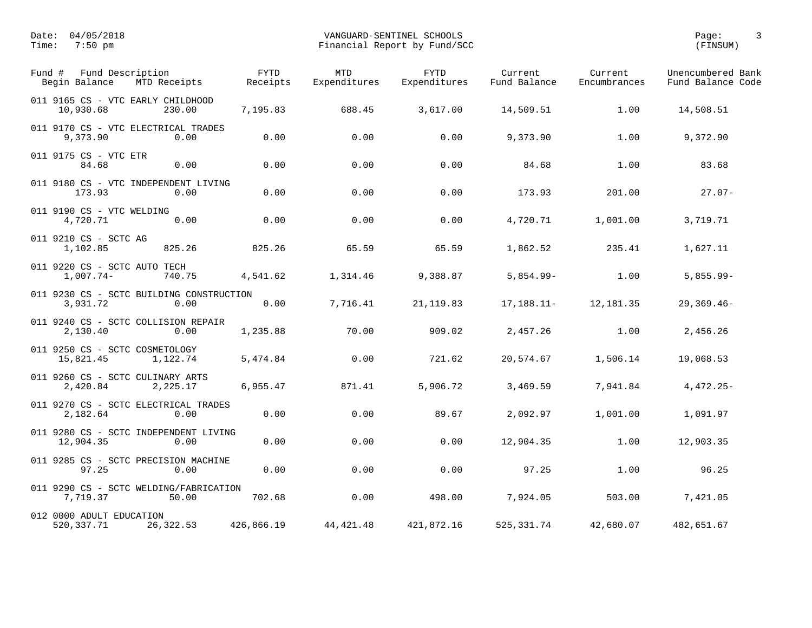| Fund Description<br>Fund #<br>Begin Balance<br>MTD Receipts  | <b>FYTD</b><br>Receipts | <b>MTD</b><br>Expenditures | <b>FYTD</b><br>Expenditures | Current<br>Fund Balance | Current<br>Encumbrances | Unencumbered Bank<br>Fund Balance Code |
|--------------------------------------------------------------|-------------------------|----------------------------|-----------------------------|-------------------------|-------------------------|----------------------------------------|
| 011 9165 CS - VTC EARLY CHILDHOOD<br>10,930.68<br>230.00     | 7,195.83                | 688.45                     | 3,617.00                    | 14,509.51               | 1.00                    | 14,508.51                              |
| 011 9170 CS - VTC ELECTRICAL TRADES<br>9,373.90<br>0.00      | 0.00                    | 0.00                       | 0.00                        | 9,373.90                | 1.00                    | 9,372.90                               |
| 011 9175 CS - VTC ETR<br>0.00<br>84.68                       | 0.00                    | 0.00                       | 0.00                        | 84.68                   | 1.00                    | 83.68                                  |
| 011 9180 CS - VTC INDEPENDENT LIVING<br>173.93<br>0.00       | 0.00                    | 0.00                       | 0.00                        | 173.93                  | 201.00                  | $27.07 -$                              |
| 011 9190 CS - VTC WELDING<br>4,720.71<br>0.00                | 0.00                    | 0.00                       | 0.00                        | 4,720.71                | 1,001.00                | 3,719.71                               |
| 011 9210 CS - SCTC AG<br>825.26<br>1,102.85                  | 825.26                  | 65.59                      | 65.59                       | 1,862.52                | 235.41                  | 1,627.11                               |
| 011 9220 CS - SCTC AUTO TECH<br>$1,007.74-$<br>740.75        | 4,541.62                | 1,314.46                   | 9,388.87                    | $5,854.99 -$            | 1.00                    | $5,855.99 -$                           |
| 011 9230 CS - SCTC BUILDING CONSTRUCTION<br>3,931.72<br>0.00 | 0.00                    | 7,716.41                   | 21, 119.83                  | $17, 188.11 -$          | 12,181.35               | $29,369.46-$                           |
| 011 9240 CS - SCTC COLLISION REPAIR<br>2,130.40<br>0.00      | 1,235.88                | 70.00                      | 909.02                      | 2,457.26                | 1.00                    | 2,456.26                               |
| 011 9250 CS - SCTC COSMETOLOGY<br>15,821.45<br>1,122.74      | 5,474.84                | 0.00                       | 721.62                      | 20,574.67               | 1,506.14                | 19,068.53                              |
| 011 9260 CS - SCTC CULINARY ARTS<br>2,420.84<br>2,225.17     | 6,955.47                | 871.41                     | 5,906.72                    | 3,469.59                | 7,941.84                | $4,472.25-$                            |
| 011 9270 CS - SCTC ELECTRICAL TRADES<br>0.00<br>2,182.64     | 0.00                    | 0.00                       | 89.67                       | 2,092.97                | 1,001.00                | 1,091.97                               |
| 011 9280 CS - SCTC INDEPENDENT LIVING<br>12,904.35<br>0.00   | 0.00                    | 0.00                       | 0.00                        | 12,904.35               | 1.00                    | 12,903.35                              |
| 011 9285 CS - SCTC PRECISION MACHINE<br>97.25<br>0.00        | 0.00                    | 0.00                       | 0.00                        | 97.25                   | 1.00                    | 96.25                                  |
| 011 9290 CS - SCTC WELDING/FABRICATION<br>7,719.37<br>50.00  | 702.68                  | 0.00                       | 498.00                      | 7,924.05                | 503.00                  | 7,421.05                               |
| 012 0000 ADULT EDUCATION<br>520, 337. 71<br>26,322.53        | 426,866.19              | 44, 421. 48                | 421,872.16                  | 525, 331.74             | 42,680.07               | 482,651.67                             |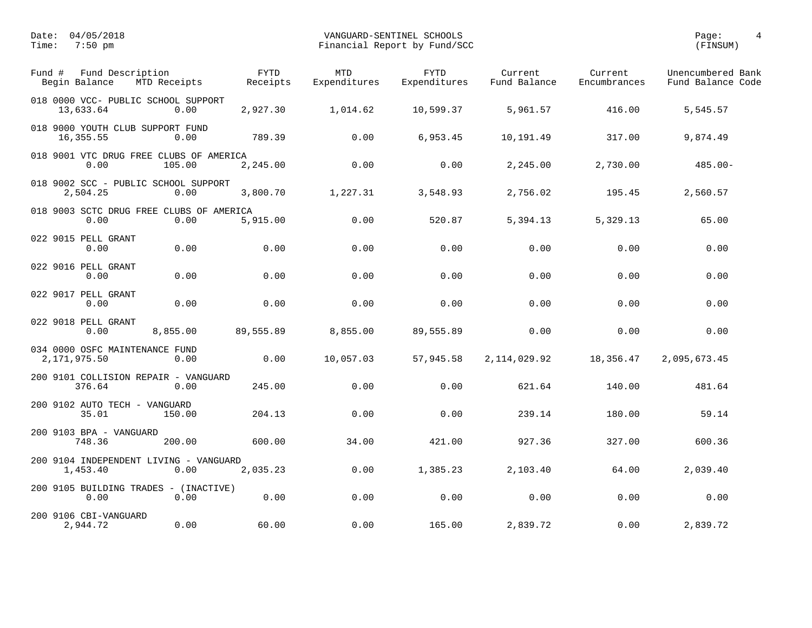| Fund Description<br>Fund #<br>Begin Balance<br>MTD Receipts | <b>FYTD</b><br>Receipts | <b>MTD</b><br>Expenditures | <b>FYTD</b><br>Expenditures | Current<br>Fund Balance | Current<br>Encumbrances | Unencumbered Bank<br>Fund Balance Code |
|-------------------------------------------------------------|-------------------------|----------------------------|-----------------------------|-------------------------|-------------------------|----------------------------------------|
| 018 0000 VCC- PUBLIC SCHOOL SUPPORT<br>13,633.64<br>0.00    | 2,927.30                | 1,014.62                   | 10,599.37                   | 5,961.57                | 416.00                  | 5,545.57                               |
| 018 9000 YOUTH CLUB SUPPORT FUND<br>16,355.55<br>0.00       | 789.39                  | 0.00                       | 6,953.45                    | 10,191.49               | 317.00                  | 9,874.49                               |
| 018 9001 VTC DRUG FREE CLUBS OF AMERICA<br>0.00<br>105.00   | 2,245.00                | 0.00                       | 0.00                        | 2,245.00                | 2,730.00                | $485.00 -$                             |
| 018 9002 SCC - PUBLIC SCHOOL SUPPORT<br>2,504.25<br>0.00    | 3,800.70                | 1,227.31                   | 3,548.93                    | 2,756.02                | 195.45                  | 2,560.57                               |
| 018 9003 SCTC DRUG FREE CLUBS OF AMERICA<br>0.00<br>0.00    | 5,915.00                | 0.00                       | 520.87                      | 5,394.13                | 5,329.13                | 65.00                                  |
| 022 9015 PELL GRANT<br>0.00<br>0.00                         | 0.00                    | 0.00                       | 0.00                        | 0.00                    | 0.00                    | 0.00                                   |
| 022 9016 PELL GRANT<br>0.00<br>0.00                         | 0.00                    | 0.00                       | 0.00                        | 0.00                    | 0.00                    | 0.00                                   |
| 022 9017 PELL GRANT<br>0.00<br>0.00                         | 0.00                    | 0.00                       | 0.00                        | 0.00                    | 0.00                    | 0.00                                   |
| 022 9018 PELL GRANT<br>0.00<br>8,855.00                     | 89,555.89               | 8,855.00                   | 89,555.89                   | 0.00                    | 0.00                    | 0.00                                   |
| 034 0000 OSFC MAINTENANCE FUND<br>2,171,975.50<br>0.00      | 0.00                    | 10,057.03                  | 57,945.58                   | 2, 114, 029.92          | 18,356.47               | 2,095,673.45                           |
| 200 9101 COLLISION REPAIR - VANGUARD<br>376.64<br>0.00      | 245.00                  | 0.00                       | 0.00                        | 621.64                  | 140.00                  | 481.64                                 |
| 200 9102 AUTO TECH - VANGUARD<br>35.01<br>150.00            | 204.13                  | 0.00                       | 0.00                        | 239.14                  | 180.00                  | 59.14                                  |
| 200 9103 BPA - VANGUARD<br>748.36<br>200.00                 | 600.00                  | 34.00                      | 421.00                      | 927.36                  | 327.00                  | 600.36                                 |
| 200 9104 INDEPENDENT LIVING - VANGUARD<br>1,453.40<br>0.00  | 2,035.23                | 0.00                       | 1,385.23                    | 2,103.40                | 64.00                   | 2,039.40                               |
| 200 9105 BUILDING TRADES - (INACTIVE)<br>0.00<br>0.00       | 0.00                    | 0.00                       | 0.00                        | 0.00                    | 0.00                    | 0.00                                   |
| 200 9106 CBI-VANGUARD<br>2,944.72<br>0.00                   | 60.00                   | 0.00                       | 165.00                      | 2,839.72                | 0.00                    | 2,839.72                               |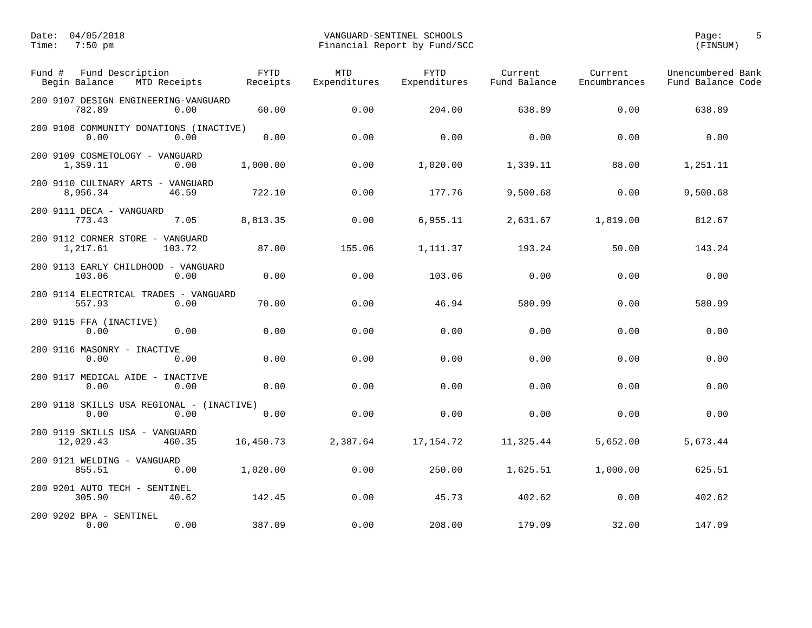| Fund #<br>Fund Description<br>Begin Balance       | MTD Receipts | ${\tt FYTD}$<br>Receipts | MTD<br>Expenditures | <b>FYTD</b><br>Expenditures | Current<br>Fund Balance | Current<br>Encumbrances | Unencumbered Bank<br>Fund Balance Code |
|---------------------------------------------------|--------------|--------------------------|---------------------|-----------------------------|-------------------------|-------------------------|----------------------------------------|
| 200 9107 DESIGN ENGINEERING-VANGUARD<br>782.89    | 0.00         | 60.00                    | 0.00                | 204.00                      | 638.89                  | 0.00                    | 638.89                                 |
| 200 9108 COMMUNITY DONATIONS (INACTIVE)<br>0.00   | 0.00         | 0.00                     | 0.00                | 0.00                        | 0.00                    | 0.00                    | 0.00                                   |
| 200 9109 COSMETOLOGY - VANGUARD<br>1,359.11       | 0.00         | 1,000.00                 | 0.00                | 1,020.00                    | 1,339.11                | 88.00                   | 1,251.11                               |
| 200 9110 CULINARY ARTS - VANGUARD<br>8,956.34     | 46.59        | 722.10                   | 0.00                | 177.76                      | 9,500.68                | 0.00                    | 9,500.68                               |
| 200 9111 DECA - VANGUARD<br>773.43                | 7.05         | 8,813.35                 | 0.00                | 6,955.11                    | 2,631.67                | 1,819.00                | 812.67                                 |
| 200 9112 CORNER STORE - VANGUARD<br>1,217.61      | 103.72       | 87.00                    | 155.06              | 1,111.37                    | 193.24                  | 50.00                   | 143.24                                 |
| 200 9113 EARLY CHILDHOOD - VANGUARD<br>103.06     | 0.00         | 0.00                     | 0.00                | 103.06                      | 0.00                    | 0.00                    | 0.00                                   |
| 200 9114 ELECTRICAL TRADES - VANGUARD<br>557.93   | 0.00         | 70.00                    | 0.00                | 46.94                       | 580.99                  | 0.00                    | 580.99                                 |
| 200 9115 FFA (INACTIVE)<br>0.00                   | 0.00         | 0.00                     | 0.00                | 0.00                        | 0.00                    | 0.00                    | 0.00                                   |
| 200 9116 MASONRY - INACTIVE<br>0.00               | 0.00         | 0.00                     | 0.00                | 0.00                        | 0.00                    | 0.00                    | 0.00                                   |
| 200 9117 MEDICAL AIDE - INACTIVE<br>0.00          | 0.00         | 0.00                     | 0.00                | 0.00                        | 0.00                    | 0.00                    | 0.00                                   |
| 200 9118 SKILLS USA REGIONAL - (INACTIVE)<br>0.00 | 0.00         | 0.00                     | 0.00                | 0.00                        | 0.00                    | 0.00                    | 0.00                                   |
| 200 9119 SKILLS USA - VANGUARD<br>12,029.43       | 460.35       | 16,450.73                | 2,387.64            | 17, 154. 72                 | 11,325.44               | 5,652.00                | 5,673.44                               |
| 200 9121 WELDING - VANGUARD<br>855.51             | 0.00         | 1,020.00                 | 0.00                | 250.00                      | 1,625.51                | 1,000.00                | 625.51                                 |
| 200 9201 AUTO TECH - SENTINEL<br>305.90           | 40.62        | 142.45                   | 0.00                | 45.73                       | 402.62                  | 0.00                    | 402.62                                 |
| 200 9202 BPA - SENTINEL<br>0.00                   | 0.00         | 387.09                   | 0.00                | 208.00                      | 179.09                  | 32.00                   | 147.09                                 |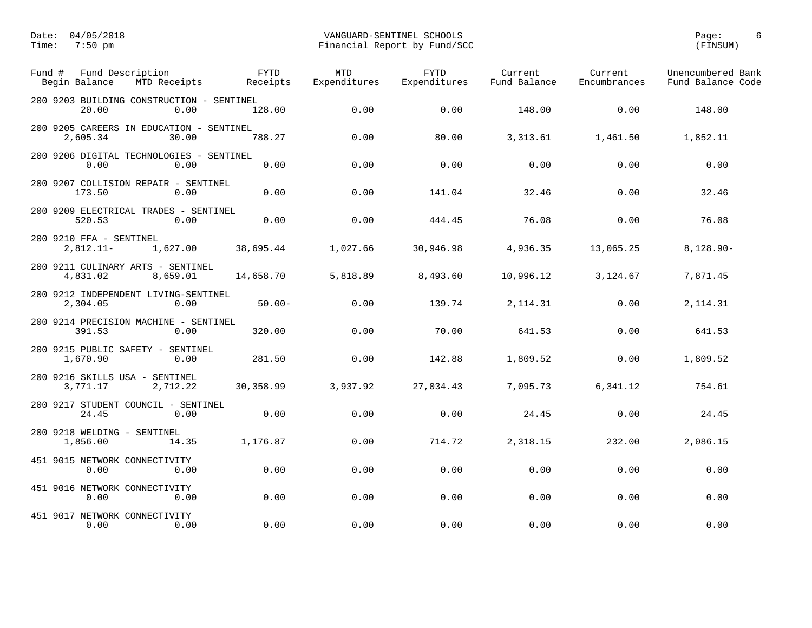| Fund # | Fund Description<br>Begin Balance<br>MTD Receipts             | <b>FYTD</b><br>Receipts | <b>MTD</b><br>Expenditures | <b>FYTD</b><br>Expenditures | Current<br>Fund Balance | Current<br>Encumbrances | Unencumbered Bank<br>Fund Balance Code |
|--------|---------------------------------------------------------------|-------------------------|----------------------------|-----------------------------|-------------------------|-------------------------|----------------------------------------|
|        | 200 9203 BUILDING CONSTRUCTION - SENTINEL<br>0.00<br>20.00    | 128.00                  | 0.00                       | 0.00                        | 148.00                  | 0.00                    | 148.00                                 |
|        | 200 9205 CAREERS IN EDUCATION - SENTINEL<br>30.00<br>2,605.34 | 788.27                  | 0.00                       | 80.00                       | 3,313.61                | 1,461.50                | 1,852.11                               |
|        | 200 9206 DIGITAL TECHNOLOGIES - SENTINEL<br>0.00<br>0.00      | 0.00                    | 0.00                       | 0.00                        | 0.00                    | 0.00                    | 0.00                                   |
|        | 200 9207 COLLISION REPAIR - SENTINEL<br>173.50<br>0.00        | 0.00                    | 0.00                       | 141.04                      | 32.46                   | 0.00                    | 32.46                                  |
|        | 200 9209 ELECTRICAL TRADES - SENTINEL<br>520.53<br>0.00       | 0.00                    | 0.00                       | 444.45                      | 76.08                   | 0.00                    | 76.08                                  |
|        | 200 9210 FFA - SENTINEL<br>1,627.00<br>$2,812.11-$            | 38,695.44               | 1,027.66                   | 30,946.98                   | 4,936.35                | 13,065.25               | $8,128.90 -$                           |
|        | 200 9211 CULINARY ARTS - SENTINEL<br>4,831.02<br>8,659.01     | 14,658.70               | 5,818.89                   | 8,493.60                    | 10,996.12               | 3,124.67                | 7,871.45                               |
|        | 200 9212 INDEPENDENT LIVING-SENTINEL<br>2,304.05<br>0.00      | $50.00 -$               | 0.00                       | 139.74                      | 2, 114.31               | 0.00                    | 2, 114.31                              |
|        | 200 9214 PRECISION MACHINE - SENTINEL<br>391.53<br>0.00       | 320.00                  | 0.00                       | 70.00                       | 641.53                  | 0.00                    | 641.53                                 |
|        | 200 9215 PUBLIC SAFETY - SENTINEL<br>1,670.90<br>0.00         | 281.50                  | 0.00                       | 142.88                      | 1,809.52                | 0.00                    | 1,809.52                               |
|        | 200 9216 SKILLS USA - SENTINEL<br>3,771.17<br>2,712.22        | 30,358.99               | 3,937.92                   | 27,034.43                   | 7,095.73                | 6,341.12                | 754.61                                 |
|        | 200 9217 STUDENT COUNCIL - SENTINEL<br>24.45<br>0.00          | 0.00                    | 0.00                       | 0.00                        | 24.45                   | 0.00                    | 24.45                                  |
|        | 200 9218 WELDING - SENTINEL<br>1,856.00<br>14.35              | 1,176.87                | 0.00                       | 714.72                      | 2,318.15                | 232.00                  | 2,086.15                               |
|        | 451 9015 NETWORK CONNECTIVITY<br>0.00<br>0.00                 | 0.00                    | 0.00                       | 0.00                        | 0.00                    | 0.00                    | 0.00                                   |
|        | 451 9016 NETWORK CONNECTIVITY<br>0.00<br>0.00                 | 0.00                    | 0.00                       | 0.00                        | 0.00                    | 0.00                    | 0.00                                   |
|        | 451 9017 NETWORK CONNECTIVITY<br>0.00<br>0.00                 | 0.00                    | 0.00                       | 0.00                        | 0.00                    | 0.00                    | 0.00                                   |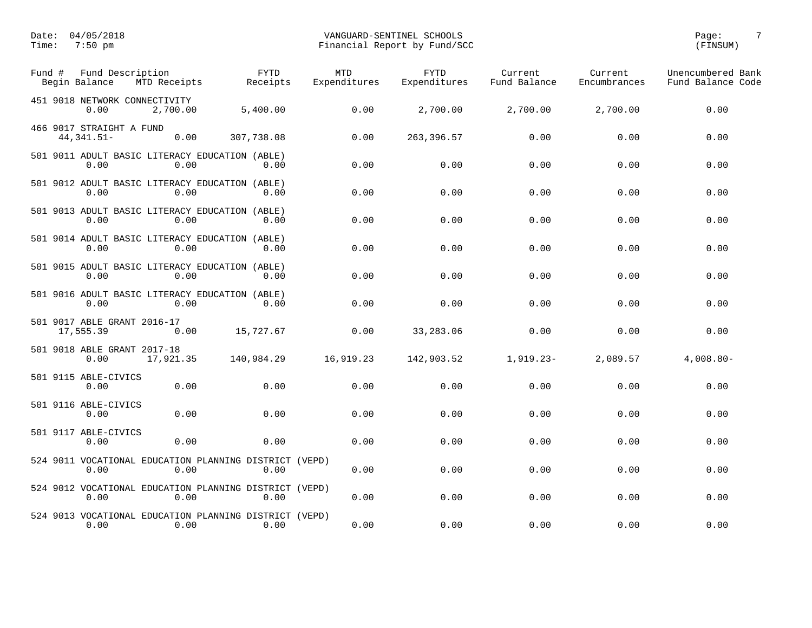| Fund # | Fund Description<br>Begin Balance<br>MTD Receipts                      | <b>FYTD</b><br>Receipts | <b>MTD</b><br>Expenditures | <b>FYTD</b><br>Expenditures | Current<br>Fund Balance | Current<br>Encumbrances | Unencumbered Bank<br>Fund Balance Code |
|--------|------------------------------------------------------------------------|-------------------------|----------------------------|-----------------------------|-------------------------|-------------------------|----------------------------------------|
|        | 451 9018 NETWORK CONNECTIVITY<br>2,700.00<br>0.00                      | 5,400.00                | 0.00                       | 2,700.00                    | 2,700.00                | 2,700.00                | 0.00                                   |
|        | 466 9017 STRAIGHT A FUND<br>44, 341.51-<br>0.00                        | 307,738.08              | 0.00                       | 263, 396.57                 | 0.00                    | 0.00                    | 0.00                                   |
|        | 501 9011 ADULT BASIC LITERACY EDUCATION (ABLE)<br>0.00<br>0.00         | 0.00                    | 0.00                       | 0.00                        | 0.00                    | 0.00                    | 0.00                                   |
|        | 501 9012 ADULT BASIC LITERACY EDUCATION (ABLE)<br>0.00<br>0.00         | 0.00                    | 0.00                       | 0.00                        | 0.00                    | 0.00                    | 0.00                                   |
|        | 501 9013 ADULT BASIC LITERACY EDUCATION (ABLE)<br>0.00<br>0.00         | 0.00                    | 0.00                       | 0.00                        | 0.00                    | 0.00                    | 0.00                                   |
|        | 501 9014 ADULT BASIC LITERACY EDUCATION (ABLE)<br>0.00<br>0.00         | 0.00                    | 0.00                       | 0.00                        | 0.00                    | 0.00                    | 0.00                                   |
|        | 501 9015 ADULT BASIC LITERACY EDUCATION (ABLE)<br>0.00<br>0.00         | 0.00                    | 0.00                       | 0.00                        | 0.00                    | 0.00                    | 0.00                                   |
|        | 501 9016 ADULT BASIC LITERACY EDUCATION (ABLE)<br>0.00<br>0.00         | 0.00                    | 0.00                       | 0.00                        | 0.00                    | 0.00                    | 0.00                                   |
|        | 501 9017 ABLE GRANT 2016-17<br>17,555.39<br>0.00                       | 15,727.67               | 0.00                       | 33,283.06                   | 0.00                    | 0.00                    | 0.00                                   |
|        | 501 9018 ABLE GRANT 2017-18<br>17,921.35<br>0.00                       | 140,984.29              | 16,919.23                  | 142,903.52                  | $1,919.23-$             | 2,089.57                | $4,008.80 -$                           |
|        | 501 9115 ABLE-CIVICS<br>0.00<br>0.00                                   | 0.00                    | 0.00                       | 0.00                        | 0.00                    | 0.00                    | 0.00                                   |
|        | 501 9116 ABLE-CIVICS<br>0.00<br>0.00                                   | 0.00                    | 0.00                       | 0.00                        | 0.00                    | 0.00                    | 0.00                                   |
|        | 501 9117 ABLE-CIVICS<br>0.00<br>0.00                                   | 0.00                    | 0.00                       | 0.00                        | 0.00                    | 0.00                    | 0.00                                   |
|        | 524 9011 VOCATIONAL EDUCATION PLANNING DISTRICT (VEPD)<br>0.00<br>0.00 | 0.00                    | 0.00                       | 0.00                        | 0.00                    | 0.00                    | 0.00                                   |
|        | 524 9012 VOCATIONAL EDUCATION PLANNING DISTRICT (VEPD)<br>0.00<br>0.00 | 0.00                    | 0.00                       | 0.00                        | 0.00                    | 0.00                    | 0.00                                   |
|        | 524 9013 VOCATIONAL EDUCATION PLANNING DISTRICT (VEPD)<br>0.00<br>0.00 | 0.00                    | 0.00                       | 0.00                        | 0.00                    | 0.00                    | 0.00                                   |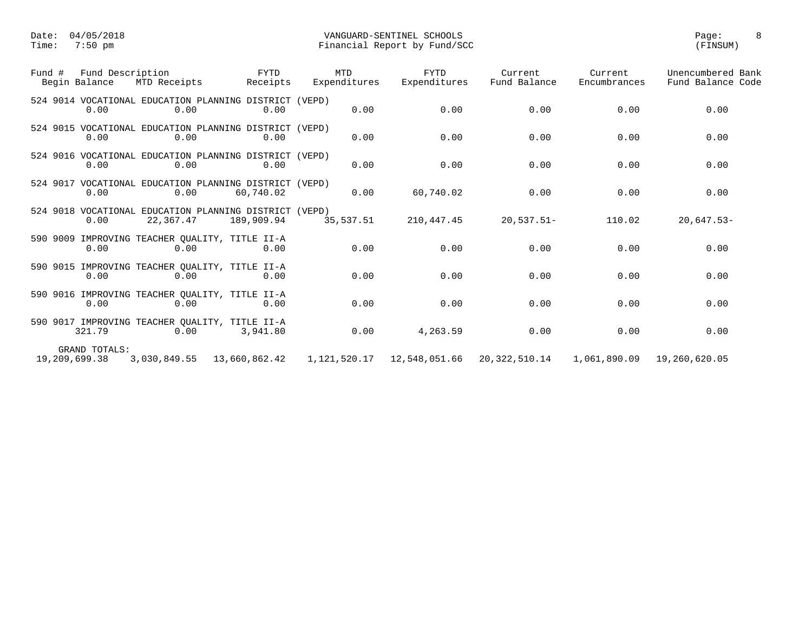| Fund #        | Fund Description<br>Begin Balance | MTD Receipts                                                        | FYTD<br>Receipts | <b>MTD</b><br>Expenditures | <b>FYTD</b><br>Expenditures | Current<br>Fund Balance | Current<br>Encumbrances | Unencumbered Bank<br>Fund Balance Code |
|---------------|-----------------------------------|---------------------------------------------------------------------|------------------|----------------------------|-----------------------------|-------------------------|-------------------------|----------------------------------------|
|               | 0.00                              | 524 9014 VOCATIONAL EDUCATION PLANNING DISTRICT (VEPD)<br>0.00      | 0.00             | 0.00                       | 0.00                        | 0.00                    | 0.00                    | 0.00                                   |
|               | 0.00                              | 524 9015 VOCATIONAL EDUCATION PLANNING DISTRICT (VEPD)<br>0.00      | 0.00             | 0.00                       | 0.00                        | 0.00                    | 0.00                    | 0.00                                   |
|               | 0.00                              | 524 9016 VOCATIONAL EDUCATION PLANNING DISTRICT (VEPD)<br>0.00      | 0.00             | 0.00                       | 0.00                        | 0.00                    | 0.00                    | 0.00                                   |
|               | 0.00                              | 524 9017 VOCATIONAL EDUCATION PLANNING DISTRICT (VEPD)<br>0.00      | 60,740.02        | 0.00                       | 60,740.02                   | 0.00                    | 0.00                    | 0.00                                   |
|               | 0.00                              | 524 9018 VOCATIONAL EDUCATION PLANNING DISTRICT (VEPD)<br>22,367.47 | 189,909.94       | 35,537.51                  | 210,447.45                  | $20,537.51-$            | 110.02                  | $20,647.53-$                           |
|               | 0.00                              | 590 9009 IMPROVING TEACHER OUALITY, TITLE II-A<br>0.00              | 0.00             | 0.00                       | 0.00                        | 0.00                    | 0.00                    | 0.00                                   |
|               | 0.00                              | 590 9015 IMPROVING TEACHER QUALITY, TITLE II-A<br>0.00              | 0.00             | 0.00                       | 0.00                        | 0.00                    | 0.00                    | 0.00                                   |
|               | 0.00                              | 590 9016 IMPROVING TEACHER OUALITY, TITLE II-A<br>0.00              | 0.00             | 0.00                       | 0.00                        | 0.00                    | 0.00                    | 0.00                                   |
|               | 321.79                            | 590 9017 IMPROVING TEACHER OUALITY, TITLE II-A<br>0.00              | 3,941.80         | 0.00                       | 4,263.59                    | 0.00                    | 0.00                    | 0.00                                   |
| 19,209,699.38 | GRAND TOTALS:                     | 3,030,849.55 13,660,862.42                                          |                  |                            |                             | 20,322,510.14           | 1,061,890.09            | 19,260,620.05                          |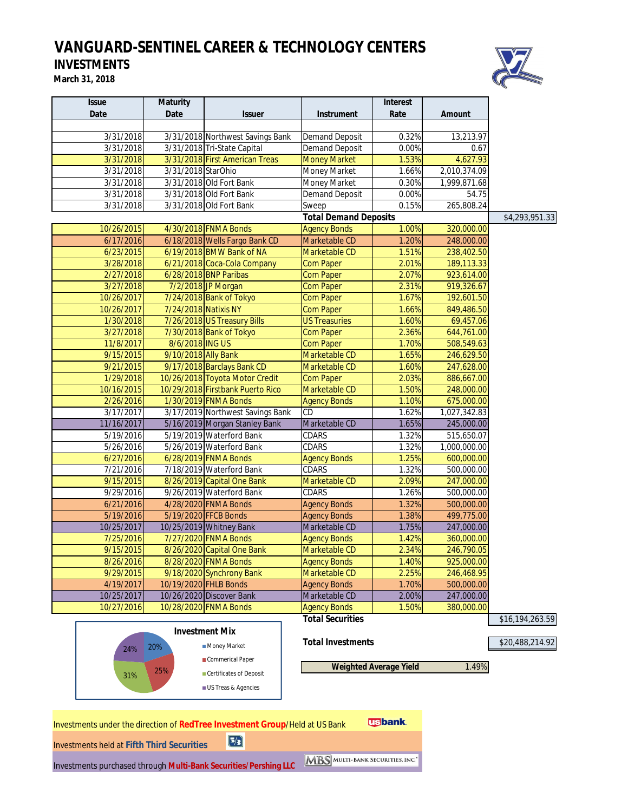# *VANGUARD-SENTINEL CAREER & TECHNOLOGY CENTERS*

# **INVESTMENTS**

**March 31, 2018**



| <b>Issue</b>                                      | <b>Maturity</b>      |                                                                             |                              | <b>Interest</b>               |               |                 |
|---------------------------------------------------|----------------------|-----------------------------------------------------------------------------|------------------------------|-------------------------------|---------------|-----------------|
| <b>Date</b>                                       | <b>Date</b>          | <b>Issuer</b>                                                               | <b>Instrument</b>            | Rate                          | <b>Amount</b> |                 |
|                                                   |                      |                                                                             |                              |                               |               |                 |
| 3/31/2018                                         |                      | 3/31/2018 Northwest Savings Bank                                            | <b>Demand Deposit</b>        | 0.32%                         | 13,213.97     |                 |
| 3/31/2018                                         |                      | 3/31/2018 Tri-State Capital                                                 | <b>Demand Deposit</b>        | 0.00%                         | 0.67          |                 |
| 3/31/2018                                         |                      | 3/31/2018 First American Treas                                              | <b>Money Market</b>          | 1.53%                         | 4,627.93      |                 |
| 3/31/2018                                         | 3/31/2018 StarOhio   |                                                                             | Money Market                 | 1.66%                         | 2,010,374.09  |                 |
| 3/31/2018                                         |                      | 3/31/2018 Old Fort Bank                                                     | Money Market                 | 0.30%                         | 1,999,871.68  |                 |
| 3/31/2018                                         |                      | 3/31/2018 Old Fort Bank                                                     | <b>Demand Deposit</b>        | 0.00%                         | 54.75         |                 |
| 3/31/2018                                         |                      | 3/31/2018 Old Fort Bank                                                     | Sweep                        | 0.15%                         | 265,808.24    |                 |
|                                                   |                      |                                                                             | <b>Total Demand Deposits</b> |                               |               | \$4,293,951.33  |
| 10/26/2015                                        |                      | 4/30/2018 FNMA Bonds                                                        | <b>Agency Bonds</b>          | 1.00%                         | 320,000.00    |                 |
| 6/17/2016                                         |                      | 6/18/2018 Wells Fargo Bank CD                                               | Marketable CD                | 1.20%                         | 248,000.00    |                 |
| 6/23/2015                                         |                      | 6/19/2018 BMW Bank of NA                                                    | Marketable CD                | 1.51%                         | 238,402.50    |                 |
| 3/28/2018                                         |                      | 6/21/2018 Coca-Cola Company                                                 | <b>Com Paper</b>             | 2.01%                         | 189,113.33    |                 |
| 2/27/2018                                         |                      | 6/28/2018 BNP Paribas                                                       | <b>Com Paper</b>             | 2.07%                         | 923,614.00    |                 |
| 3/27/2018                                         |                      | 7/2/2018 JP Morgan                                                          | <b>Com Paper</b>             | 2.31%                         | 919,326.67    |                 |
| 10/26/2017                                        |                      | 7/24/2018 Bank of Tokyo                                                     | <b>Com Paper</b>             | 1.67%                         | 192,601.50    |                 |
| 10/26/2017                                        | 7/24/2018 Natixis NY |                                                                             | <b>Com Paper</b>             | 1.66%                         | 849,486.50    |                 |
| 1/30/2018                                         |                      | 7/26/2018 US Treasury Bills                                                 | <b>US Treasuries</b>         | 1.60%                         | 69,457.06     |                 |
| 3/27/2018                                         |                      | 7/30/2018 Bank of Tokyo                                                     | <b>Com Paper</b>             | 2.36%                         | 644,761.00    |                 |
| 11/8/2017                                         | 8/6/2018 ING US      |                                                                             | <b>Com Paper</b>             | 1.70%                         | 508,549.63    |                 |
| 9/15/2015                                         | 9/10/2018 Ally Bank  |                                                                             | Marketable CD                | 1.65%                         | 246,629.50    |                 |
| 9/21/2015                                         |                      | 9/17/2018 Barclays Bank CD                                                  | Marketable CD                | 1.60%                         | 247,628.00    |                 |
| 1/29/2018                                         |                      | 10/26/2018 Toyota Motor Credit                                              | <b>Com Paper</b>             | 2.03%                         | 886,667.00    |                 |
| 10/16/2015                                        |                      | 10/29/2018 Firstbank Puerto Rico                                            | Marketable CD                | 1.50%                         | 248,000.00    |                 |
| 2/26/2016                                         |                      | 1/30/2019 FNMA Bonds                                                        | <b>Agency Bonds</b>          | 1.10%                         | 675,000.00    |                 |
| 3/17/2017                                         |                      | 3/17/2019 Northwest Savings Bank                                            | CD                           | 1.62%                         | 1,027,342.83  |                 |
| 11/16/2017                                        |                      | 5/16/2019 Morgan Stanley Bank                                               | Marketable CD                | 1.65%                         | 245,000.00    |                 |
| 5/19/2016                                         |                      | 5/19/2019 Waterford Bank                                                    | CDARS                        | 1.32%                         | 515,650.07    |                 |
| 5/26/2016                                         |                      | 5/26/2019 Waterford Bank                                                    | <b>CDARS</b>                 | 1.32%                         | 1,000,000.00  |                 |
| 6/27/2016                                         |                      | 6/28/2019 FNMA Bonds                                                        | <b>Agency Bonds</b>          | 1.25%                         | 600,000.00    |                 |
| 7/21/2016                                         |                      | 7/18/2019 Waterford Bank                                                    | CDARS                        | 1.32%                         | 500,000.00    |                 |
| 9/15/2015                                         |                      | 8/26/2019 Capital One Bank                                                  | Marketable CD                | 2.09%                         | 247,000.00    |                 |
| 9/29/2016                                         |                      | 9/26/2019 Waterford Bank                                                    | CDARS                        | 1.26%                         | 500,000.00    |                 |
| 6/21/2016                                         |                      | 4/28/2020 FNMA Bonds                                                        | <b>Agency Bonds</b>          | 1.32%                         | 500,000.00    |                 |
| 5/19/2016                                         |                      | 5/19/2020 FFCB Bonds                                                        | <b>Agency Bonds</b>          | 1.38%                         | 499,775.00    |                 |
| 10/25/2017                                        |                      | 10/25/2019 Whitney Bank                                                     | Marketable CD                | 1.75%                         | 247,000.00    |                 |
| 7/25/2016                                         |                      | 7/27/2020 FNMA Bonds                                                        | <b>Agency Bonds</b>          | 1.42%                         | 360,000.00    |                 |
| 9/15/2015                                         |                      | 8/26/2020 Capital One Bank                                                  | Marketable CD                | 2.34%                         | 246,790.05    |                 |
| 8/26/2016                                         |                      | 8/28/2020 FNMA Bonds                                                        | <b>Agency Bonds</b>          | 1.40%                         | 925,000.00    |                 |
| 9/29/2015                                         |                      | 9/18/2020 Synchrony Bank                                                    | Marketable CD                | 2.25%                         | 246,468.95    |                 |
| 4/19/2017                                         |                      | 10/19/2020 FHLB Bonds                                                       | <b>Agency Bonds</b>          | 1.70%                         | 500,000.00    |                 |
| 10/25/2017                                        |                      | 10/26/2020 Discover Bank                                                    | Marketable CD                | 2.00%                         | 247,000.00    |                 |
| 10/27/2016                                        |                      | 10/28/2020 FNMA Bonds                                                       | <b>Agency Bonds</b>          | 1.50%                         | 380,000.00    |                 |
|                                                   |                      |                                                                             | <b>Total Securities</b>      |                               |               | \$16,194,263.59 |
|                                                   |                      | <b>Investment Mix</b>                                                       |                              |                               |               |                 |
|                                                   | 20%                  | Money Market                                                                | <b>Total Investments</b>     |                               |               | \$20,488,214.92 |
| 24%                                               |                      |                                                                             |                              |                               |               |                 |
|                                                   | 25%                  | Commerical Paper                                                            |                              | <b>Weighted Average Yield</b> | 1.49%         |                 |
| 31%                                               |                      | Certificates of Deposit                                                     |                              |                               |               |                 |
|                                                   |                      | US Treas & Agencies                                                         |                              |                               |               |                 |
|                                                   |                      |                                                                             |                              |                               |               |                 |
|                                                   |                      |                                                                             |                              |                               |               |                 |
|                                                   |                      | Investments under the direction of RedTree Investment Group/Held at US Bank |                              | <b>Usbank</b>                 |               |                 |
|                                                   |                      |                                                                             |                              |                               |               |                 |
| <b>Investments held at Fifth Third Securities</b> |                      | $\boxed{5/3}$                                                               |                              |                               |               |                 |

Investments held at **Fifth Third Securities**

Investments purchased through **Multi-Bank Securities/Pershing LLC**

| <b>BS</b> MULTI-BANK SECURITIES, INC |  |
|--------------------------------------|--|
|                                      |  |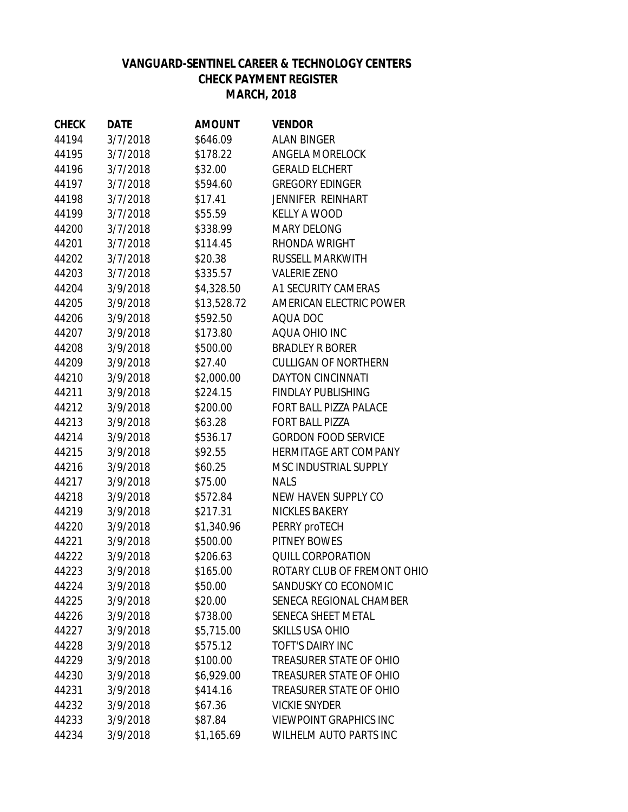# **VANGUARD-SENTINEL CAREER & TECHNOLOGY CENTERS CHECK PAYMENT REGISTER MARCH, 2018**

| <b>CHECK</b> | <b>DATE</b> | <b>AMOUNT</b> | <b>VENDOR</b>                  |
|--------------|-------------|---------------|--------------------------------|
| 44194        | 3/7/2018    | \$646.09      | <b>ALAN BINGER</b>             |
| 44195        | 3/7/2018    | \$178.22      | <b>ANGELA MORELOCK</b>         |
| 44196        | 3/7/2018    | \$32.00       | <b>GERALD ELCHERT</b>          |
| 44197        | 3/7/2018    | \$594.60      | <b>GREGORY EDINGER</b>         |
| 44198        | 3/7/2018    | \$17.41       | <b>JENNIFER REINHART</b>       |
| 44199        | 3/7/2018    | \$55.59       | <b>KELLY A WOOD</b>            |
| 44200        | 3/7/2018    | \$338.99      | <b>MARY DELONG</b>             |
| 44201        | 3/7/2018    | \$114.45      | RHONDA WRIGHT                  |
| 44202        | 3/7/2018    | \$20.38       | <b>RUSSELL MARKWITH</b>        |
| 44203        | 3/7/2018    | \$335.57      | <b>VALERIE ZENO</b>            |
| 44204        | 3/9/2018    | \$4,328.50    | A1 SECURITY CAMERAS            |
| 44205        | 3/9/2018    | \$13,528.72   | AMERICAN ELECTRIC POWER        |
| 44206        | 3/9/2018    | \$592.50      | AQUA DOC                       |
| 44207        | 3/9/2018    | \$173.80      | AQUA OHIO INC                  |
| 44208        | 3/9/2018    | \$500.00      | <b>BRADLEY R BORER</b>         |
| 44209        | 3/9/2018    | \$27.40       | <b>CULLIGAN OF NORTHERN</b>    |
| 44210        | 3/9/2018    | \$2,000.00    | <b>DAYTON CINCINNATI</b>       |
| 44211        | 3/9/2018    | \$224.15      | <b>FINDLAY PUBLISHING</b>      |
| 44212        | 3/9/2018    | \$200.00      | FORT BALL PIZZA PALACE         |
| 44213        | 3/9/2018    | \$63.28       | <b>FORT BALL PIZZA</b>         |
| 44214        | 3/9/2018    | \$536.17      | <b>GORDON FOOD SERVICE</b>     |
| 44215        | 3/9/2018    | \$92.55       | HERMITAGE ART COMPANY          |
| 44216        | 3/9/2018    | \$60.25       | MSC INDUSTRIAL SUPPLY          |
| 44217        | 3/9/2018    | \$75.00       | <b>NALS</b>                    |
| 44218        | 3/9/2018    | \$572.84      | NEW HAVEN SUPPLY CO            |
| 44219        | 3/9/2018    | \$217.31      | <b>NICKLES BAKERY</b>          |
| 44220        | 3/9/2018    | \$1,340.96    | PERRY proTECH                  |
| 44221        | 3/9/2018    | \$500.00      | PITNEY BOWES                   |
| 44222        | 3/9/2018    | \$206.63      | <b>QUILL CORPORATION</b>       |
| 44223        | 3/9/2018    | \$165.00      | ROTARY CLUB OF FREMONT OHIO    |
| 44224        | 3/9/2018    | \$50.00       | SANDUSKY CO ECONOMIC           |
| 44225        | 3/9/2018    | \$20.00       | SENECA REGIONAL CHAMBER        |
| 44226        | 3/9/2018    | \$738.00      | SENECA SHEET METAL             |
| 44227        | 3/9/2018    | \$5,715.00    | <b>SKILLS USA OHIO</b>         |
| 44228        | 3/9/2018    | \$575.12      | <b>TOFT'S DAIRY INC</b>        |
| 44229        | 3/9/2018    | \$100.00      | TREASURER STATE OF OHIO        |
| 44230        | 3/9/2018    | \$6,929.00    | <b>TREASURER STATE OF OHIO</b> |
| 44231        | 3/9/2018    | \$414.16      | TREASURER STATE OF OHIO        |
| 44232        | 3/9/2018    | \$67.36       | <b>VICKIE SNYDER</b>           |
| 44233        | 3/9/2018    | \$87.84       | <b>VIEWPOINT GRAPHICS INC</b>  |
| 44234        | 3/9/2018    | \$1,165.69    | <b>WILHELM AUTO PARTS INC</b>  |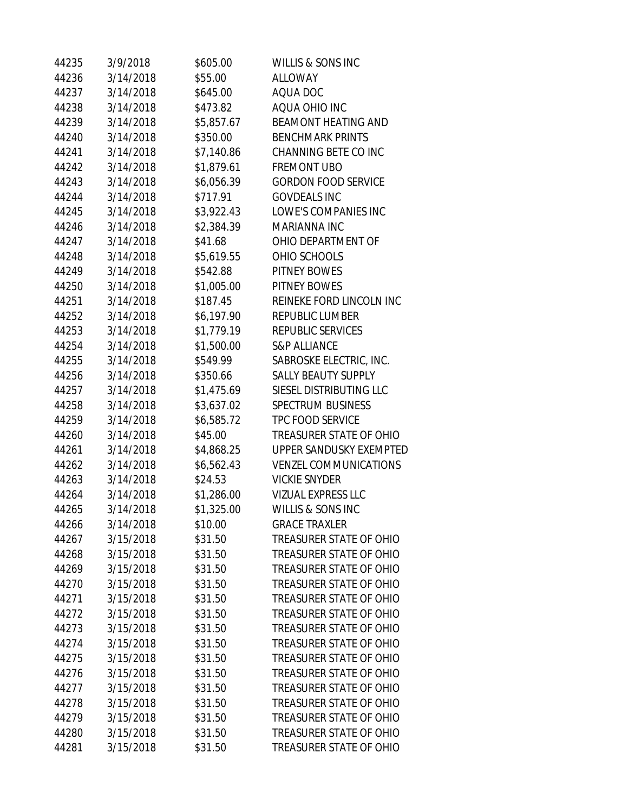| 44235 | 3/9/2018  | \$605.00   | WILLIS & SONS INC              |
|-------|-----------|------------|--------------------------------|
| 44236 | 3/14/2018 | \$55.00    | <b>ALLOWAY</b>                 |
| 44237 | 3/14/2018 | \$645.00   | AQUA DOC                       |
| 44238 | 3/14/2018 | \$473.82   | AQUA OHIO INC                  |
| 44239 | 3/14/2018 | \$5,857.67 | <b>BEAMONT HEATING AND</b>     |
| 44240 | 3/14/2018 | \$350.00   | <b>BENCHMARK PRINTS</b>        |
| 44241 | 3/14/2018 | \$7,140.86 | CHANNING BETE CO INC           |
| 44242 | 3/14/2018 | \$1,879.61 | <b>FREMONT UBO</b>             |
| 44243 | 3/14/2018 | \$6,056.39 | <b>GORDON FOOD SERVICE</b>     |
| 44244 | 3/14/2018 | \$717.91   | <b>GOVDEALS INC</b>            |
| 44245 | 3/14/2018 | \$3,922.43 | LOWE'S COMPANIES INC           |
| 44246 | 3/14/2018 | \$2,384.39 | MARIANNA INC                   |
| 44247 | 3/14/2018 | \$41.68    | OHIO DEPARTMENT OF             |
| 44248 | 3/14/2018 | \$5,619.55 | OHIO SCHOOLS                   |
| 44249 | 3/14/2018 | \$542.88   | <b>PITNEY BOWES</b>            |
| 44250 | 3/14/2018 | \$1,005.00 | PITNEY BOWES                   |
| 44251 | 3/14/2018 | \$187.45   | REINEKE FORD LINCOLN INC       |
| 44252 | 3/14/2018 | \$6,197.90 | REPUBLIC LUMBER                |
| 44253 | 3/14/2018 | \$1,779.19 | REPUBLIC SERVICES              |
| 44254 | 3/14/2018 | \$1,500.00 | <b>S&amp;P ALLIANCE</b>        |
| 44255 | 3/14/2018 | \$549.99   | SABROSKE ELECTRIC, INC.        |
| 44256 | 3/14/2018 | \$350.66   | <b>SALLY BEAUTY SUPPLY</b>     |
| 44257 | 3/14/2018 | \$1,475.69 | SIESEL DISTRIBUTING LLC        |
| 44258 | 3/14/2018 | \$3,637.02 | <b>SPECTRUM BUSINESS</b>       |
| 44259 | 3/14/2018 | \$6,585.72 | <b>TPC FOOD SERVICE</b>        |
| 44260 | 3/14/2018 | \$45.00    | TREASURER STATE OF OHIO        |
| 44261 | 3/14/2018 | \$4,868.25 | UPPER SANDUSKY EXEMPTED        |
| 44262 | 3/14/2018 | \$6,562.43 | <b>VENZEL COMMUNICATIONS</b>   |
| 44263 | 3/14/2018 | \$24.53    | <b>VICKIE SNYDER</b>           |
| 44264 | 3/14/2018 | \$1,286.00 | <b>VIZUAL EXPRESS LLC</b>      |
| 44265 | 3/14/2018 | \$1,325.00 | <b>WILLIS &amp; SONS INC</b>   |
| 44266 | 3/14/2018 | \$10.00    | <b>GRACE TRAXLER</b>           |
| 44267 | 3/15/2018 | \$31.50    | <b>TREASURER STATE OF OHIO</b> |
| 44268 | 3/15/2018 | \$31.50    | <b>TREASURER STATE OF OHIO</b> |
| 44269 | 3/15/2018 | \$31.50    | <b>TREASURER STATE OF OHIO</b> |
| 44270 | 3/15/2018 | \$31.50    | <b>TREASURER STATE OF OHIO</b> |
| 44271 | 3/15/2018 | \$31.50    | <b>TREASURER STATE OF OHIO</b> |
| 44272 | 3/15/2018 | \$31.50    | <b>TREASURER STATE OF OHIO</b> |
| 44273 | 3/15/2018 | \$31.50    | <b>TREASURER STATE OF OHIO</b> |
| 44274 | 3/15/2018 | \$31.50    | <b>TREASURER STATE OF OHIO</b> |
| 44275 | 3/15/2018 | \$31.50    | <b>TREASURER STATE OF OHIO</b> |
| 44276 | 3/15/2018 | \$31.50    | <b>TREASURER STATE OF OHIO</b> |
| 44277 | 3/15/2018 | \$31.50    | <b>TREASURER STATE OF OHIO</b> |
| 44278 | 3/15/2018 | \$31.50    | <b>TREASURER STATE OF OHIO</b> |
| 44279 | 3/15/2018 | \$31.50    | <b>TREASURER STATE OF OHIO</b> |
| 44280 | 3/15/2018 | \$31.50    | <b>TREASURER STATE OF OHIO</b> |
| 44281 | 3/15/2018 | \$31.50    | TREASURER STATE OF OHIO        |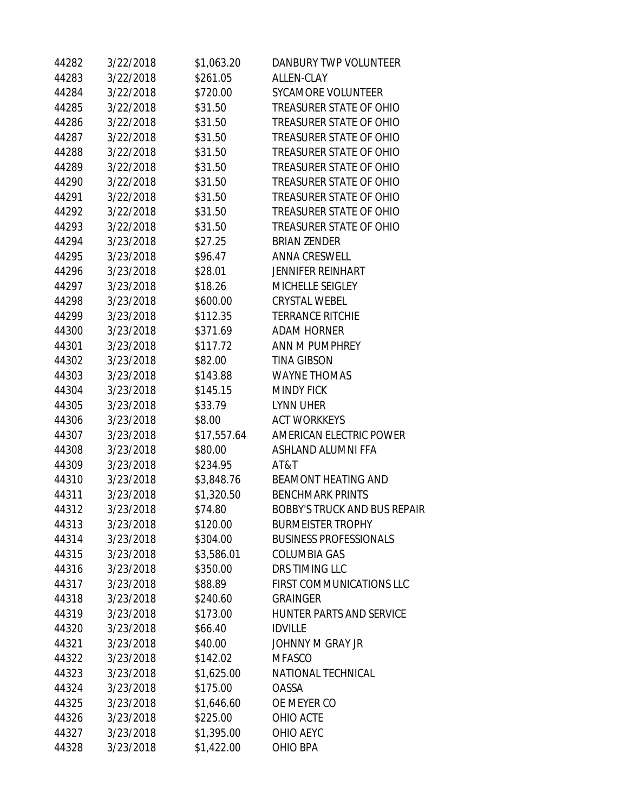| 44282 | 3/22/2018 | \$1,063.20  | DANBURY TWP VOLUNTEER               |
|-------|-----------|-------------|-------------------------------------|
| 44283 | 3/22/2018 | \$261.05    | <b>ALLEN-CLAY</b>                   |
| 44284 | 3/22/2018 | \$720.00    | <b>SYCAMORE VOLUNTEER</b>           |
| 44285 | 3/22/2018 | \$31.50     | <b>TREASURER STATE OF OHIO</b>      |
| 44286 | 3/22/2018 | \$31.50     | TREASURER STATE OF OHIO             |
| 44287 | 3/22/2018 | \$31.50     | TREASURER STATE OF OHIO             |
| 44288 | 3/22/2018 | \$31.50     | TREASURER STATE OF OHIO             |
| 44289 | 3/22/2018 | \$31.50     | TREASURER STATE OF OHIO             |
| 44290 | 3/22/2018 | \$31.50     | TREASURER STATE OF OHIO             |
| 44291 | 3/22/2018 | \$31.50     | <b>TREASURER STATE OF OHIO</b>      |
| 44292 | 3/22/2018 | \$31.50     | TREASURER STATE OF OHIO             |
| 44293 | 3/22/2018 | \$31.50     | TREASURER STATE OF OHIO             |
| 44294 | 3/23/2018 | \$27.25     | <b>BRIAN ZENDER</b>                 |
| 44295 | 3/23/2018 | \$96.47     | <b>ANNA CRESWELL</b>                |
| 44296 | 3/23/2018 | \$28.01     | <b>JENNIFER REINHART</b>            |
| 44297 | 3/23/2018 | \$18.26     | MICHELLE SEIGLEY                    |
| 44298 | 3/23/2018 | \$600.00    | <b>CRYSTAL WEBEL</b>                |
| 44299 | 3/23/2018 | \$112.35    | <b>TERRANCE RITCHIE</b>             |
| 44300 | 3/23/2018 | \$371.69    | <b>ADAM HORNER</b>                  |
| 44301 | 3/23/2018 | \$117.72    | ANN M PUMPHREY                      |
| 44302 | 3/23/2018 | \$82.00     | <b>TINA GIBSON</b>                  |
| 44303 | 3/23/2018 | \$143.88    | <b>WAYNE THOMAS</b>                 |
| 44304 | 3/23/2018 | \$145.15    | <b>MINDY FICK</b>                   |
| 44305 | 3/23/2018 | \$33.79     | <b>LYNN UHER</b>                    |
| 44306 | 3/23/2018 | \$8.00      | <b>ACT WORKKEYS</b>                 |
| 44307 | 3/23/2018 | \$17,557.64 | AMERICAN ELECTRIC POWER             |
| 44308 | 3/23/2018 | \$80.00     | ASHLAND ALUMNI FFA                  |
| 44309 | 3/23/2018 | \$234.95    | AT&T                                |
| 44310 | 3/23/2018 | \$3,848.76  | <b>BEAMONT HEATING AND</b>          |
| 44311 | 3/23/2018 | \$1,320.50  | <b>BENCHMARK PRINTS</b>             |
| 44312 | 3/23/2018 | \$74.80     | <b>BOBBY'S TRUCK AND BUS REPAIR</b> |
| 44313 | 3/23/2018 | \$120.00    | <b>BURMEISTER TROPHY</b>            |
| 44314 | 3/23/2018 | \$304.00    | <b>BUSINESS PROFESSIONALS</b>       |
| 44315 | 3/23/2018 | \$3,586.01  | <b>COLUMBIA GAS</b>                 |
| 44316 | 3/23/2018 | \$350.00    | DRS TIMING LLC                      |
| 44317 | 3/23/2018 | \$88.89     | FIRST COMMUNICATIONS LLC            |
| 44318 | 3/23/2018 | \$240.60    | <b>GRAINGER</b>                     |
| 44319 | 3/23/2018 | \$173.00    | HUNTER PARTS AND SERVICE            |
| 44320 | 3/23/2018 | \$66.40     | <b>IDVILLE</b>                      |
| 44321 | 3/23/2018 | \$40.00     | <b>JOHNNY M GRAY JR</b>             |
| 44322 | 3/23/2018 | \$142.02    | <b>MFASCO</b>                       |
| 44323 | 3/23/2018 | \$1,625.00  | NATIONAL TECHNICAL                  |
| 44324 | 3/23/2018 | \$175.00    | <b>OASSA</b>                        |
| 44325 | 3/23/2018 | \$1,646.60  | OE MEYER CO                         |
| 44326 | 3/23/2018 | \$225.00    | OHIO ACTE                           |
| 44327 | 3/23/2018 | \$1,395.00  | OHIO AEYC                           |
| 44328 | 3/23/2018 | \$1,422.00  | OHIO BPA                            |